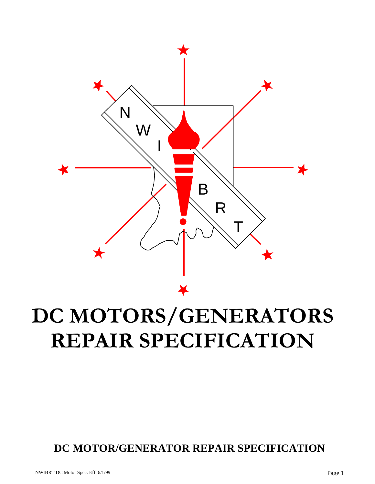

# **DC MOTORS/GENERATORS REPAIR SPECIFICATION**

### **DC MOTOR/GENERATOR REPAIR SPECIFICATION**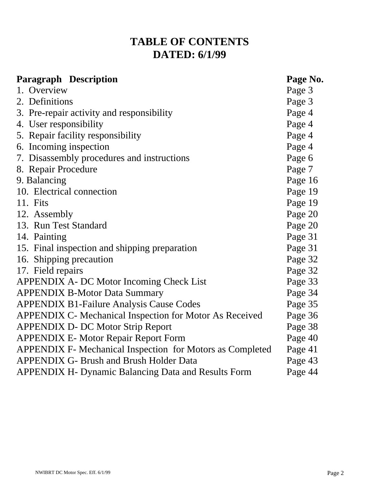### **TABLE OF CONTENTS DATED: 6/1/99**

| <b>Paragraph Description</b>                                   | Page No. |
|----------------------------------------------------------------|----------|
| 1. Overview                                                    | Page 3   |
| 2. Definitions                                                 | Page 3   |
| 3. Pre-repair activity and responsibility                      | Page 4   |
| 4. User responsibility                                         | Page 4   |
| 5. Repair facility responsibility                              | Page 4   |
| 6. Incoming inspection                                         | Page 4   |
| 7. Disassembly procedures and instructions                     | Page 6   |
| 8. Repair Procedure                                            | Page 7   |
| 9. Balancing                                                   | Page 16  |
| 10. Electrical connection                                      | Page 19  |
| 11. Fits                                                       | Page 19  |
| 12. Assembly                                                   | Page 20  |
| 13. Run Test Standard                                          | Page 20  |
| 14. Painting                                                   | Page 31  |
| 15. Final inspection and shipping preparation                  | Page 31  |
| 16. Shipping precaution                                        | Page 32  |
| 17. Field repairs                                              | Page 32  |
| APPENDIX A- DC Motor Incoming Check List                       | Page 33  |
| <b>APPENDIX B-Motor Data Summary</b>                           | Page 34  |
| <b>APPENDIX B1-Failure Analysis Cause Codes</b>                | Page 35  |
| <b>APPENDIX C- Mechanical Inspection for Motor As Received</b> | Page 36  |
| <b>APPENDIX D- DC Motor Strip Report</b>                       | Page 38  |
| <b>APPENDIX E- Motor Repair Report Form</b>                    | Page 40  |
| APPENDIX F- Mechanical Inspection for Motors as Completed      | Page 41  |
| <b>APPENDIX G- Brush and Brush Holder Data</b>                 | Page 43  |
| <b>APPENDIX H- Dynamic Balancing Data and Results Form</b>     | Page 44  |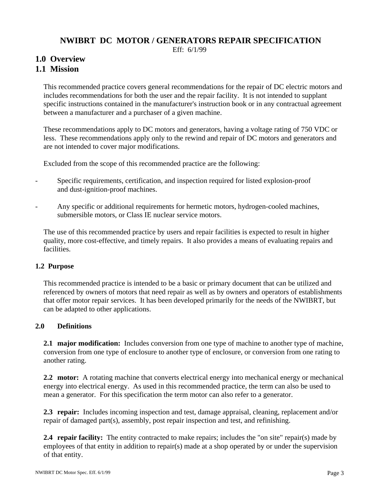#### **NWIBRT DC MOTOR / GENERATORS REPAIR SPECIFICATION**

Eff: 6/1/99

#### **1.0 Overview**

#### **1.1 Mission**

 This recommended practice covers general recommendations for the repair of DC electric motors and includes recommendations for both the user and the repair facility. It is not intended to supplant specific instructions contained in the manufacturer's instruction book or in any contractual agreement between a manufacturer and a purchaser of a given machine.

 These recommendations apply to DC motors and generators, having a voltage rating of 750 VDC or less. These recommendations apply only to the rewind and repair of DC motors and generators and are not intended to cover major modifications.

Excluded from the scope of this recommended practice are the following:

- Specific requirements, certification, and inspection required for listed explosion-proof and dust-ignition-proof machines.
- Any specific or additional requirements for hermetic motors, hydrogen-cooled machines, submersible motors, or Class IE nuclear service motors.

 The use of this recommended practice by users and repair facilities is expected to result in higher quality, more cost-effective, and timely repairs. It also provides a means of evaluating repairs and facilities.

#### **1.2 Purpose**

 This recommended practice is intended to be a basic or primary document that can be utilized and referenced by owners of motors that need repair as well as by owners and operators of establishments that offer motor repair services. It has been developed primarily for the needs of the NWIBRT, but can be adapted to other applications.

#### **2.0 Definitions**

**2.1 major modification:** Includes conversion from one type of machine to another type of machine, conversion from one type of enclosure to another type of enclosure, or conversion from one rating to another rating.

 **2.2 motor:** A rotating machine that converts electrical energy into mechanical energy or mechanical energy into electrical energy. As used in this recommended practice, the term can also be used to mean a generator. For this specification the term motor can also refer to a generator.

 **2.3 repair:** Includes incoming inspection and test, damage appraisal, cleaning, replacement and/or repair of damaged part(s), assembly, post repair inspection and test, and refinishing.

 **2.4 repair facility:** The entity contracted to make repairs; includes the "on site" repair(s) made by employees of that entity in addition to repair(s) made at a shop operated by or under the supervision of that entity.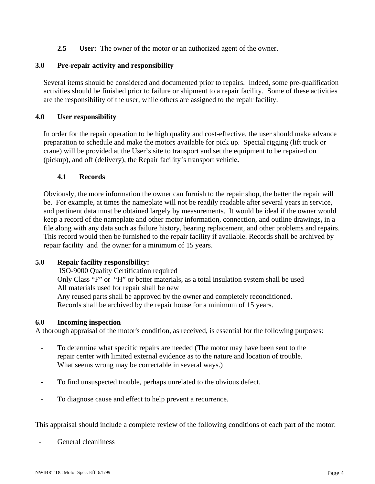**2.5 User:** The owner of the motor or an authorized agent of the owner.

#### **3.0 Pre-repair activity and responsibility**

 Several items should be considered and documented prior to repairs. Indeed, some pre-qualification activities should be finished prior to failure or shipment to a repair facility. Some of these activities are the responsibility of the user, while others are assigned to the repair facility.

#### **4.0 User responsibility**

 In order for the repair operation to be high quality and cost-effective, the user should make advance preparation to schedule and make the motors available for pick up. Special rigging (lift truck or crane) will be provided at the User's site to transport and set the equipment to be repaired on (pickup), and off (delivery), the Repair facility's transport vehicl**e.** 

#### **4.1 Records**

 Obviously, the more information the owner can furnish to the repair shop, the better the repair will be. For example, at times the nameplate will not be readily readable after several years in service, and pertinent data must be obtained largely by measurements. It would be ideal if the owner would keep a record of the nameplate and other motor information*,* connection, and outline drawings**,** in a file along with any data such as failure history, bearing replacement, and other problems and repairs. This record would then be furnished to the repair facility if available. Records shall be archived by repair facility and the owner for a minimum of 15 years.

#### **5.0 Repair facility responsibility:**

 ISO-9000 Quality Certification required Only Class "F" or "H" or better materials, as a total insulation system shall be used All materials used for repair shall be new Any reused parts shall be approved by the owner and completely reconditioned. Records shall be archived by the repair house for a minimum of 15 years.

#### **6.0 Incoming inspection**

A thorough appraisal of the motor's condition, as received, is essential for the following purposes:

- To determine what specific repairs are needed (The motor may have been sent to the repair center with limited external evidence as to the nature and location of trouble. What seems wrong may be correctable in several ways.)
- To find unsuspected trouble, perhaps unrelated to the obvious defect.
- To diagnose cause and effect to help prevent a recurrence.

This appraisal should include a complete review of the following conditions of each part of the motor:

General cleanliness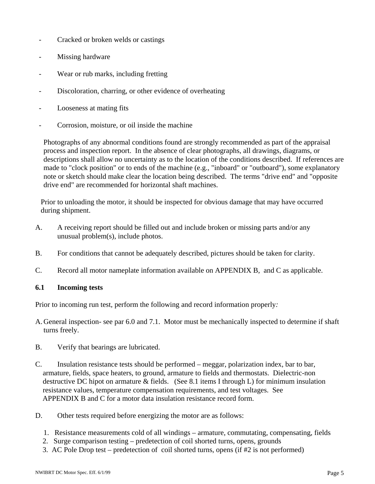- Cracked or broken welds or castings
- Missing hardware
- Wear or rub marks, including fretting
- Discoloration, charring, or other evidence of overheating
- Looseness at mating fits
- Corrosion, moisture, or oil inside the machine

 Photographs of any abnormal conditions found are strongly recommended as part of the appraisal process and inspection report. In the absence of clear photographs, all drawings, diagrams, or descriptions shall allow no uncertainty as to the location of the conditions described. If references are made to "clock position" or to ends of the machine (e.g., "inboard" or "outboard"), some explanatory note or sketch should make clear the location being described. The terms "drive end" and "opposite drive end" are recommended for horizontal shaft machines.

 Prior to unloading the motor, it should be inspected for obvious damage that may have occurred during shipment.

- A. A receiving report should be filled out and include broken or missing parts and/or any unusual problem(s), include photos.
- B. For conditions that cannot be adequately described, pictures should be taken for clarity.
- C. Record all motor nameplate information available on APPENDIX B, and C as applicable.

#### **6.1 Incoming tests**

Prior to incoming run test, perform the following and record information properly*:*

- A. General inspection- see par 6.0 and 7.1. Motor must be mechanically inspected to determine if shaft turns freely.
- B. Verify that bearings are lubricated.
- C. Insulation resistance tests should be performed meggar, polarization index, bar to bar, armature, fields, space heaters, to ground, armature to fields and thermostats. Dielectric-non destructive DC hipot on armature & fields.(See 8.1 items I through L) for minimum insulation resistance values, temperature compensation requirements, and test voltages. See APPENDIX B and C for a motor data insulation resistance record form.
- D. Other tests required before energizing the motor are as follows:
	- 1. Resistance measurements cold of all windings armature, commutating, compensating, fields
	- 2. Surge comparison testing predetection of coil shorted turns, opens, grounds
	- 3. AC Pole Drop test predetection of coil shorted turns, opens (if #2 is not performed)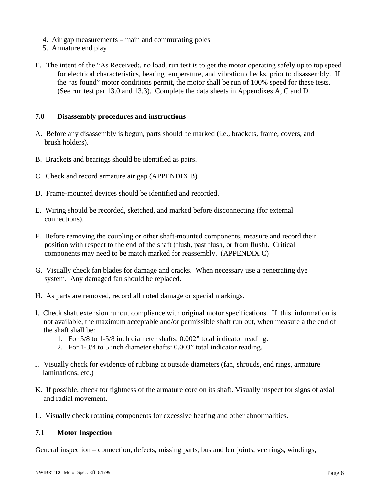- 4. Air gap measurements main and commutating poles
- 5. Armature end play
- E. The intent of the "As Received:, no load, run test is to get the motor operating safely up to top speed for electrical characteristics, bearing temperature, and vibration checks, prior to disassembly. If the "as found" motor conditions permit, the motor shall be run of 100% speed for these tests. (See run test par 13.0 and 13.3). Complete the data sheets in Appendixes A, C and D.

#### **7.0 Disassembly procedures and instructions**

- A. Before any disassembly is begun, parts should be marked (i.e., brackets, frame, covers, and brush holders).
- B. Brackets and bearings should be identified as pairs.
- C. Check and record armature air gap (APPENDIX B).
- D. Frame-mounted devices should be identified and recorded.
- E. Wiring should be recorded, sketched, and marked before disconnecting (for external connections).
- F. Before removing the coupling or other shaft-mounted components, measure and record their position with respect to the end of the shaft (flush, past flush, or from flush). Critical components may need to be match marked for reassembly. (APPENDIX C)
- G. Visually check fan blades for damage and cracks. When necessary use a penetrating dye system. Any damaged fan should be replaced.
- H. As parts are removed, record all noted damage or special markings.
- I. Check shaft extension runout compliance with original motor specifications. If this information is not available, the maximum acceptable and/or permissible shaft run out, when measure a the end of the shaft shall be:
	- 1. For 5/8 to 1-5/8 inch diameter shafts: 0.002" total indicator reading.
	- 2. For 1-3/4 to 5 inch diameter shafts: 0.003" total indicator reading.
- J. Visually check for evidence of rubbing at outside diameters (fan, shrouds, end rings, armature laminations, etc.)
- K. If possible, check for tightness of the armature core on its shaft. Visually inspect for signs of axial and radial movement.
- L. Visually check rotating components for excessive heating and other abnormalities.

#### **7.1 Motor Inspection**

General inspection – connection, defects, missing parts, bus and bar joints, vee rings, windings,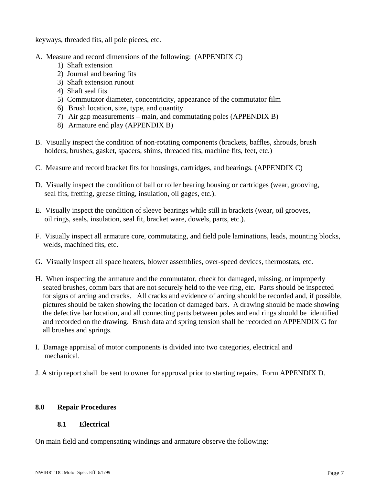keyways, threaded fits, all pole pieces, etc.

- A. Measure and record dimensions of the following: (APPENDIX C)
	- 1) Shaft extension
	- 2) Journal and bearing fits
	- 3) Shaft extension runout
	- 4) Shaft seal fits
	- 5) Commutator diameter, concentricity, appearance of the commutator film
	- 6) Brush location, size, type, and quantity
	- 7) Air gap measurements main, and commutating poles (APPENDIX B)
	- 8) Armature end play (APPENDIX B)
- B. Visually inspect the condition of non-rotating components (brackets, baffles, shrouds, brush holders, brushes, gasket, spacers, shims, threaded fits, machine fits, feet, etc.)
- C. Measure and record bracket fits for housings, cartridges, and bearings. (APPENDIX C)
- D. Visually inspect the condition of ball or roller bearing housing or cartridges (wear, grooving, seal fits, fretting, grease fitting, insulation, oil gages, etc.).
- E. Visually inspect the condition of sleeve bearings while still in brackets (wear, oil grooves, oil rings, seals, insulation, seal fit, bracket ware, dowels, parts, etc.).
- F. Visually inspect all armature core, commutating, and field pole laminations, leads, mounting blocks, welds, machined fits, etc.
- G. Visually inspect all space heaters, blower assemblies, over-speed devices, thermostats, etc.
- H. When inspecting the armature and the commutator, check for damaged, missing, or improperly seated brushes, comm bars that are not securely held to the vee ring, etc. Parts should be inspected for signs of arcing and cracks. All cracks and evidence of arcing should be recorded and, if possible, pictures should be taken showing the location of damaged bars. A drawing should be made showing the defective bar location, and all connecting parts between poles and end rings should be identified and recorded on the drawing. Brush data and spring tension shall be recorded on APPENDIX G for all brushes and springs.
- I. Damage appraisal of motor components is divided into two categories, electrical and mechanical.
- J. A strip report shall be sent to owner for approval prior to starting repairs. Form APPENDIX D.

#### **8.0 Repair Procedures**

#### **8.1 Electrical**

On main field and compensating windings and armature observe the following: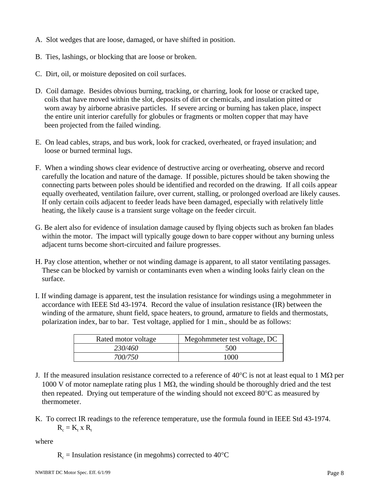- A. Slot wedges that are loose, damaged, or have shifted in position.
- B. Ties, lashings, or blocking that are loose or broken.
- C. Dirt, oil, or moisture deposited on coil surfaces.
- D. Coil damage. Besides obvious burning, tracking, or charring, look for loose or cracked tape, coils that have moved within the slot, deposits of dirt or chemicals, and insulation pitted or worn away by airborne abrasive particles. If severe arcing or burning has taken place, inspect the entire unit interior carefully for globules or fragments or molten copper that may have been projected from the failed winding.
- E. On lead cables, straps, and bus work, look for cracked, overheated, or frayed insulation; and loose or burned terminal lugs.
- F. When a winding shows clear evidence of destructive arcing or overheating, observe and record carefully the location and nature of the damage. If possible, pictures should be taken showing the connecting parts between poles should be identified and recorded on the drawing. If all coils appear equally overheated, ventilation failure, over current*,* stalling, or prolonged overload are likely causes. If only certain coils adjacent to feeder leads have been damaged*,* especially with relatively little heating, the likely cause is a transient surge voltage on the feeder circuit.
- G. Be alert also for evidence of insulation damage caused by flying objects such as broken fan blades within the motor. The impact will typically gouge down to bare copper without any burning unless adjacent turns become short-circuited and failure progresses.
- H. Pay close attention, whether or not winding damage is apparent, to all stator ventilating passages. These can be blocked by varnish or contaminants even when a winding looks fairly clean on the surface.
- I. If winding damage is apparent, test the insulation resistance for windings using a megohmmeter in accordance with IEEE Std 43-1974. Record the value of insulation resistance (IR) between the winding of the armature, shunt field, space heaters, to ground, armature to fields and thermostats, polarization index, bar to bar. Test voltage, applied for 1 min., should be as follows:

| Rated motor voltage | Megohmmeter test voltage, DC |
|---------------------|------------------------------|
| <i>230/460</i>      | 500                          |
| 700/750             | 1000                         |

- J. If the measured insulation resistance corrected to a reference of 40 $^{\circ}$ C is not at least equal to 1 M $\Omega$  per 1000 V of motor nameplate rating plus 1 M $\Omega$ , the winding should be thoroughly dried and the test then repeated. Drying out temperature of the winding should not exceed 80°C as measured by thermometer.
- K. To correct IR readings to the reference temperature, use the formula found in IEEE Std 43-1974.  $R_c = K_t x R_t$

where

 $R_c$  = Insulation resistance (in megohms) corrected to 40°C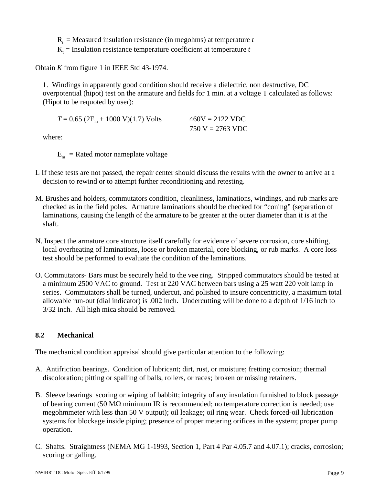$R<sub>t</sub>$  = Measured insulation resistance (in megohms) at temperature *t* 

 $K<sub>t</sub>$  = Insulation resistance temperature coefficient at temperature *t* 

Obtain *K* from figure 1 in IEEE Std 43-1974.

 1. Windings in apparently good condition should receive a dielectric, non destructive, DC overpotential (hipot) test on the armature and fields for 1 min. at a voltage T calculated as follows: (Hipot to be requoted by user):

 $T = 0.65$  (2E<sub>m</sub> + 1000 V)(1.7) Volts 460V = 2122 VDC 750 V = 2763 VDC

where:

 $E_m$  = Rated motor nameplate voltage

- L If these tests are not passed, the repair center should discuss the results with the owner to arrive at a decision to rewind or to attempt further reconditioning and retesting.
- M. Brushes and holders, commutators condition, cleanliness, laminations, windings, and rub marks are checked as in the field poles. Armature laminations should be checked for "coning" (separation of laminations, causing the length of the armature to be greater at the outer diameter than it is at the shaft.
- N. Inspect the armature core structure itself carefully for evidence of severe corrosion, core shifting, local overheating of laminations, loose or broken material, core blocking, or rub marks. A core loss test should be performed to evaluate the condition of the laminations.
- O. Commutators- Bars must be securely held to the vee ring. Stripped commutators should be tested at a minimum 2500 VAC to ground. Test at 220 VAC between bars using a 25 watt 220 volt lamp in series. Commutators shall be turned, undercut, and polished to insure concentricity, a maximum total allowable run-out (dial indicator) is .002 inch. Undercutting will be done to a depth of 1/16 inch to 3/32 inch. All high mica should be removed.

#### **8.2 Mechanical**

The mechanical condition appraisal should give particular attention to the following:

- A*.* Antifriction bearings. Condition of lubricant; dirt, rust, or moisture; fretting corrosion; thermal discoloration; pitting or spalling of balls, rollers, or races; broken or missing retainers.
- B. Sleeve bearings scoring or wiping of babbitt; integrity of any insulation furnished to block passage of bearing current (50 MΩ minimum IR is recommended; no temperature correction is needed; use megohmmeter with less than 50 V output); oil leakage; oil ring wear. Check forced-oil lubrication systems for blockage inside piping; presence of proper metering orifices in the system; proper pump operation.
- C. Shafts. Straightness (NEMA MG 1-1993, Section 1, Part 4 Par 4.05.7 and 4.07.1); cracks, corrosion; scoring or galling.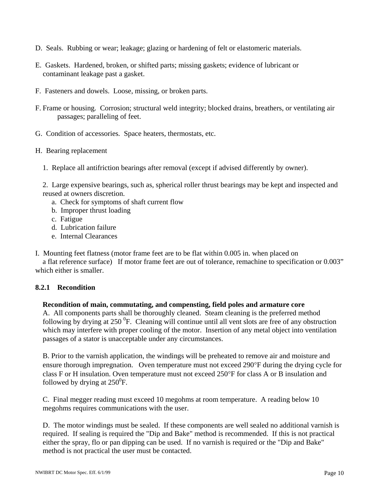- D. Seals. Rubbing or wear; leakage; glazing or hardening of felt or elastomeric materials.
- E. Gaskets. Hardened, broken, or shifted parts; missing gaskets; evidence of lubricant or contaminant leakage past a gasket.
- F. Fasteners and dowels. Loose, missing, or broken parts.
- F. Frame or housing*.* Corrosion; structural weld integrity; blocked drains, breathers, or ventilating air passages; paralleling of feet.
- G. Condition of accessories*.* Space heaters, thermostats, etc.

#### H. Bearing replacement

1. Replace all antifriction bearings after removal (except if advised differently by owner).

 2. Large expensive bearings, such as, spherical roller thrust bearings may be kept and inspected and reused at owners discretion.

- a. Check for symptoms of shaft current flow
- b. Improper thrust loading
- c. Fatigue
- d. Lubrication failure
- e. Internal Clearances
- I. Mounting feet flatness (motor frame feet are to be flat within 0.005 in. when placed on a flat reference surface) If motor frame feet are out of tolerance, remachine to specification or 0.003" which either is smaller.

#### **8.2.1 Recondition**

#### **Recondition of main, commutating, and compensting, field poles and armature core**

A. All components parts shall be thoroughly cleaned. Steam cleaning is the preferred method following by drying at  $250<sup>0</sup>F$ . Cleaning will continue until all vent slots are free of any obstruction which may interfere with proper cooling of the motor. Insertion of any metal object into ventilation passages of a stator is unacceptable under any circumstances.

 B. Prior to the varnish application, the windings will be preheated to remove air and moisture and ensure thorough impregnation. Oven temperature must not exceed 290°F during the drying cycle for class F or H insulation. Oven temperature must not exceed 250°F for class A or B insulation and followed by drying at  $250^0$ F.

 C. Final megger reading must exceed 10 megohms at room temperature. A reading below 10 megohms requires communications with the user.

 D. The motor windings must be sealed. If these components are well sealed no additional varnish is required. If sealing is required the "Dip and Bake" method is recommended. If this is not practical either the spray, flo or pan dipping can be used. If no varnish is required or the "Dip and Bake" method is not practical the user must be contacted.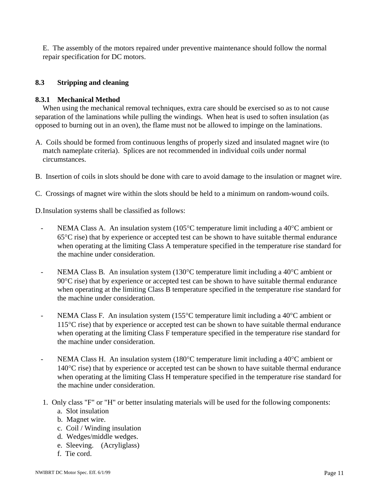E. The assembly of the motors repaired under preventive maintenance should follow the normal repair specification for DC motors.

#### **8.3 Stripping and cleaning**

#### **8.3.1 Mechanical Method**

When using the mechanical removal techniques, extra care should be exercised so as to not cause separation of the laminations while pulling the windings. When heat is used to soften insulation (as opposed to burning out in an oven), the flame must not be allowed to impinge on the laminations.

- A. Coils should be formed from continuous lengths of properly sized and insulated magnet wire (to match nameplate criteria). Splices are not recommended in individual coils under normal circumstances.
- B. Insertion of coils in slots should be done with care to avoid damage to the insulation or magnet wire.
- C. Crossings of magnet wire within the slots should be held to a minimum on random-wound coils.

D. Insulation systems shall be classified as follows:

- NEMA Class A. An insulation system (105 $\degree$ C temperature limit including a 40 $\degree$ C ambient or 65°C rise) that by experience or accepted test can be shown to have suitable thermal endurance when operating at the limiting Class A temperature specified in the temperature rise standard for the machine under consideration.
- NEMA Class B*.* An insulation system (130°C temperature limit including a 40°C ambient or 90°C rise) that by experience or accepted test can be shown to have suitable thermal endurance when operating at the limiting Class B temperature specified in the temperature rise standard for the machine under consideration.
- NEMA Class F. An insulation system (155<sup>o</sup>C temperature limit including a 40<sup>o</sup>C ambient or 115°C rise) that by experience or accepted test can be shown to have suitable thermal endurance when operating at the limiting Class F temperature specified in the temperature rise standard for the machine under consideration.
- NEMA Class H. An insulation system (180°C temperature limit including a 40°C ambient or 140°C rise) that by experience or accepted test can be shown to have suitable thermal endurance when operating at the limiting Class H temperature specified in the temperature rise standard for the machine under consideration.
- 1. Only class "F" or "H" or better insulating materials will be used for the following components:
	- a. Slot insulation
	- b. Magnet wire.
	- c. Coil / Winding insulation
	- d. Wedges/middle wedges.
	- e. Sleeving. (Acryliglass)
	- f. Tie cord.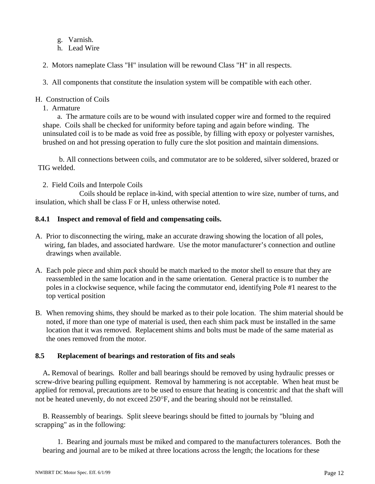- g. Varnish.
- h. Lead Wire
- 2. Motors nameplate Class "H" insulation will be rewound Class "H" in all respects.
- 3. All components that constitute the insulation system will be compatible with each other.

#### H. Construction of Coils

1. Armature

 a. The armature coils are to be wound with insulated copper wire and formed to the required shape. Coils shall be checked for uniformity before taping and again before winding. The uninsulated coil is to be made as void free as possible, by filling with epoxy or polyester varnishes, brushed on and hot pressing operation to fully cure the slot position and maintain dimensions.

 b. All connections between coils, and commutator are to be soldered, silver soldered, brazed or TIG welded.

2. Field Coils and Interpole Coils

 Coils should be replace in-kind, with special attention to wire size, number of turns, and insulation, which shall be class F or H, unless otherwise noted.

#### **8.4.1 Inspect and removal of field and compensating coils.**

- A. Prior to disconnecting the wiring, make an accurate drawing showing the location of all poles, wiring, fan blades, and associated hardware. Use the motor manufacturer's connection and outline drawings when available.
- A. Each pole piece and shim *pack* should be match marked to the motor shell to ensure that they are reassembled in the same location and in the same orientation. General practice is to number the poles in a clockwise sequence, while facing the commutator end, identifying Pole #1 nearest to the top vertical position
- B. When removing shims, they should be marked as to their pole location. The shim material should be noted, if more than one type of material is used, then each shim pack must be installed in the same location that it was removed. Replacement shims and bolts must be made of the same material as the ones removed from the motor.

#### **8.5 Replacement of bearings and restoration of fits and seals**

 A**.** Removal of bearings*.* Roller and ball bearings should be removed by using hydraulic presses or screw-drive bearing pulling equipment. Removal by hammering is not acceptable. When heat must be applied for removal, precautions are to be used to ensure that heating is concentric and that the shaft will not be heated unevenly, do not exceed 250°F, and the bearing should not be reinstalled.

 B. Reassembly of bearings*.* Split sleeve bearings should be fitted to journals by "bluing and scrapping" as in the following:

 1. Bearing and journals must be miked and compared to the manufacturers tolerances. Both the bearing and journal are to be miked at three locations across the length; the locations for these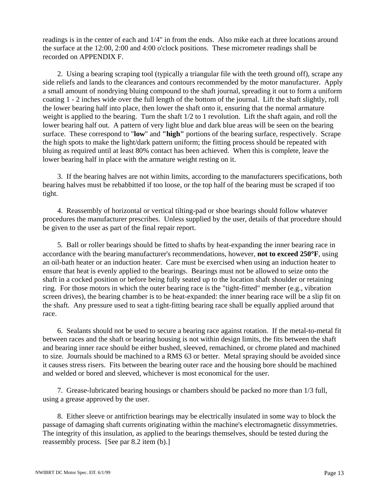readings is in the center of each and 1/4" in from the ends. Also mike each at three locations around the surface at the 12:00, 2:00 and 4:00 o'clock positions. These micrometer readings shall be recorded on APPENDIX F.

 2. Using a bearing scraping tool (typically a triangular file with the teeth ground off), scrape any side reliefs and lands to the clearances and contours recommended by the motor manufacturer. Apply a small amount of nondrying bluing compound to the shaft journal, spreading it out to form a uniform coating 1 - 2 inches wide over the full length of the bottom of the journal. Lift the shaft slightly, roll the lower bearing half into place, then lower the shaft onto it, ensuring that the normal armature weight is applied to the bearing. Turn the shaft 1/2 to 1 revolution. Lift the shaft again, and roll the lower bearing half out. A pattern of very light blue and dark blue areas will be seen on the bearing surface. These correspond to "**low**" and **"high"** portions of the bearing surface, respectively. Scrape the high spots to make the light/dark pattern uniform; the fitting process should be repeated with bluing as required until at least 80% contact has been achieved. When this is complete, leave the lower bearing half in place with the armature weight resting on it.

 3. If the bearing halves are not within limits, according to the manufacturers specifications, both bearing halves must be rebabbitted if too loose, or the top half of the bearing must be scraped if too tight.

 4. Reassembly of horizontal or vertical tilting-pad or shoe bearings should follow whatever procedures the manufacturer prescribes. Unless supplied by the user, details of that procedure should be given to the user as part of the final repair report.

 5. Ball or roller bearings should be fitted to shafts by heat-expanding the inner bearing race in accordance with the bearing manufacturer's recommendations, however, **not to exceed 250**°**F**, using an oil-bath heater or an induction heater. Care must be exercised when using an induction heater to ensure that heat is evenly applied to the bearings. Bearings must not be allowed to seize onto the shaft in a cocked position or before being fully seated up to the location shaft shoulder or retaining ring. For those motors in which the outer bearing race is the "tight-fitted" member (e.g., vibration screen drives), the bearing chamber is to be heat-expanded: the inner bearing race will be a slip fit on the shaft. Any pressure used to seat a tight-fitting bearing race shall be equally applied around that race.

 6. Sealants should not be used to secure a bearing race against rotation. If the metal-to-metal fit between races and the shaft or bearing housing is not within design limits, the fits between the shaft and bearing inner race should be either bushed, sleeved, remachined, or chrome plated and machined to size. Journals should be machined to a RMS 63 or better. Metal spraying should be avoided since it causes stress risers. Fits between the bearing outer race and the housing bore should be machined and welded or bored and sleeved, whichever is most economical for the user.

 7. Grease-lubricated bearing housings or chambers should be packed no more than 1/3 full, using a grease approved by the user.

 8. Either sleeve or antifriction bearings may be electrically insulated in some way to block the passage of damaging shaft currents originating within the machine's electromagnetic dissymmetries. The integrity of this insulation, as applied to the bearings themselves, should be tested during the reassembly process. [See par 8.2 item (b).]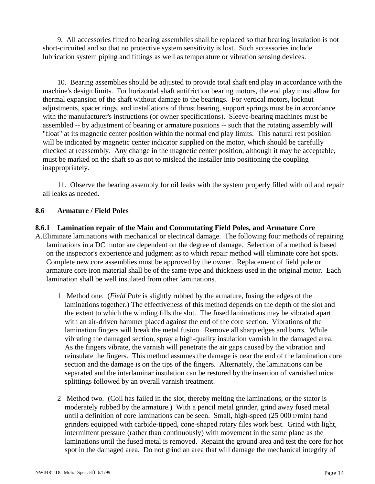9. All accessories fitted to bearing assemblies shall be replaced so that bearing insulation is not short-circuited and so that no protective system sensitivity is lost. Such accessories include lubrication system piping and fittings as well as temperature or vibration sensing devices.

 10. Bearing assemblies should be adjusted to provide total shaft end play in accordance with the machine's design limits. For horizontal shaft antifriction bearing motors, the end play must allow for thermal expansion of the shaft without damage to the bearings. For vertical motors, locknut adjustments, spacer rings, and installations of thrust bearing, support springs must be in accordance with the manufacturer's instructions (or owner specifications). Sleeve-bearing machines must be assembled -- by adjustment of bearing or armature positions -- such that the rotating assembly will "float" at its magnetic center position within the normal end play limits. This natural rest position will be indicated by magnetic center indicator supplied on the motor, which should be carefully checked at reassembly. Any change in the magnetic center position, although it may be acceptable, must be marked on the shaft so as not to mislead the installer into positioning the coupling inappropriately.

 11. Observe the bearing assembly for oil leaks with the system properly filled with oil and repair all leaks as needed.

#### **8.6 Armature / Field Poles**

#### **8.6.1 Lamination repair of the Main and Commutating Field Poles, and Armature Core**

A.Eliminate laminations with mechanical or electrical damage. The following four methods of repairing laminations in a DC motor are dependent on the degree of damage. Selection of a method is based on the inspector's experience and judgment as to which repair method will eliminate core hot spots. Complete new core assemblies must be approved by the owner. Replacement of field pole or armature core iron material shall be of the same type and thickness used in the original motor. Each lamination shall be well insulated from other laminations.

- 1 Method one. (*Field Pole* is slightly rubbed by the armature, fusing the edges of the laminations together.) The effectiveness of this method depends on the depth of the slot and the extent to which the winding fills the slot. The fused laminations may be vibrated apart with an air-driven hammer placed against the end of the core section. Vibrations of the lamination fingers will break the metal fusion. Remove all sharp edges and burrs*.* While vibrating the damaged section, spray a high-quality insulation varnish in the damaged area. As the fingers vibrate, the varnish will penetrate the air gaps caused by the vibration and reinsulate the fingers. This method assumes the damage is near the end of the lamination core section and the damage is on the tips of the fingers. Alternately, the laminations can be separated and the interlaminar insulation can be restored by the insertion of varnished mica splittings followed by an overall varnish treatment.
- 2 Method two*.* (Coil has failed in the slot, thereby melting the laminations, or the stator is moderately rubbed by the armature.) With a pencil metal grinder, grind away fused metal until a definition of core laminations can be seen. Small, high-speed (25 000 r/min) hand grinders equipped with carbide-tipped, cone-shaped rotary files work best. Grind with light, intermittent pressure (rather than continuously) with movement in the same plane as the laminations until the fused metal is removed. Repaint the ground area and test the core for hot spot in the damaged area. Do not grind an area that will damage the mechanical integrity of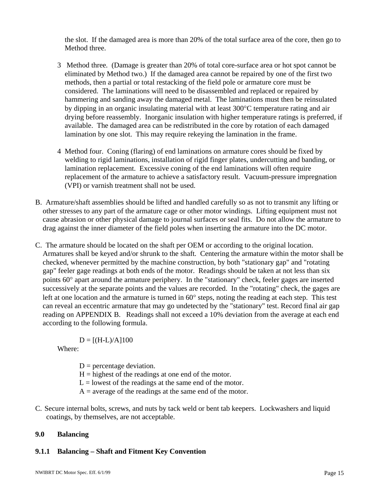the slot. If the damaged area is more than 20% of the total surface area of the core, then go to Method three.

- 3 Method three*.* (Damage is greater than 20% of total core-surface area or hot spot cannot be eliminated by Method two.) If the damaged area cannot be repaired by one of the first two methods, then a partial or total restacking of the field pole or armature core must be considered. The laminations will need to be disassembled and replaced or repaired by hammering and sanding away the damaged metal. The laminations must then be reinsulated by dipping in an organic insulating material with at least 300°C temperature rating and air drying before reassembly. Inorganic insulation with higher temperature ratings is preferred, if available. The damaged area can be redistributed in the core by rotation of each damaged lamination by one slot. This may require rekeying the lamination in the frame.
- 4 Method four. Coning (flaring) of end laminations on armature cores should be fixed by welding to rigid laminations, installation of rigid finger plates, undercutting and banding, or lamination replacement. Excessive coning of the end laminations will often require replacement of the armature to achieve a satisfactory result. Vacuum-pressure impregnation (VPI) or varnish treatment shall not be used.
- B. Armature/shaft assemblies should be lifted and handled carefully so as not to transmit any lifting or other stresses to any part of the armature cage or other motor windings. Lifting equipment must not cause abrasion or other physical damage to journal surfaces or seal fits. Do not allow the armature to drag against the inner diameter of the field poles when inserting the armature into the DC motor.
- C. The armature should be located on the shaft per OEM or according to the original location. Armatures shall be keyed and/or shrunk to the shaft*.* Centering the armature within the motor shall be checked, whenever permitted by the machine construction, by both "stationary gap" and "rotating gap" feeler gage readings at both ends of the motor. Readings should be taken at not less than six points 60° apart around the armature periphery. In the "stationary" check, feeler gages are inserted successively at the separate points and the values are recorded. In the "rotating" check, the gages are left at one location and the armature is turned in 60° steps, noting the reading at each step. This test can reveal an eccentric armature that may go undetected by the "stationary" test. Record final air gap reading on APPENDIX B. Readings shall not exceed a 10% deviation from the average at each end according to the following formula.

 $D = [(H-L)/A]100$ 

Where:

- $D =$  percentage deviation.
- $H =$  highest of the readings at one end of the motor.
- $L =$  lowest of the readings at the same end of the motor.
- $A =$  average of the readings at the same end of the motor.
- C. Secure internal bolts, screws, and nuts by tack weld or bent tab keepers. Lockwashers and liquid coatings, by themselves, are not acceptable.

#### **9.0 Balancing**

#### **9.1.1 Balancing – Shaft and Fitment Key Convention**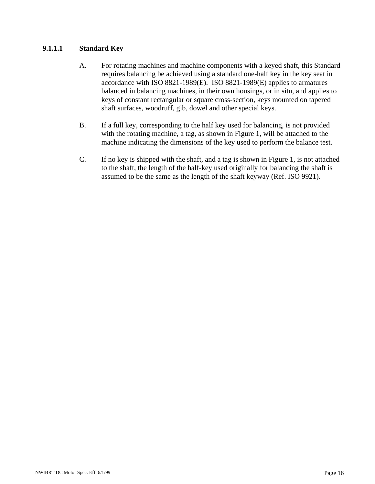#### **9.1.1.1 Standard Key**

- A. For rotating machines and machine components with a keyed shaft, this Standard requires balancing be achieved using a standard one-half key in the key seat in accordance with ISO 8821-1989(E). ISO 8821-1989(E) applies to armatures balanced in balancing machines, in their own housings, or in situ*,* and applies to keys of constant rectangular or square cross-section, keys mounted on tapered shaft surfaces, woodruff, gib, dowel and other special keys.
- B. If a full key, corresponding to the half key used for balancing, is not provided with the rotating machine, a tag, as shown in Figure 1, will be attached to the machine indicating the dimensions of the key used to perform the balance test.
- C. If no key is shipped with the shaft, and a tag is shown in Figure 1, is not attached to the shaft, the length of the half-key used originally for balancing the shaft is assumed to be the same as the length of the shaft keyway (Ref. ISO 9921).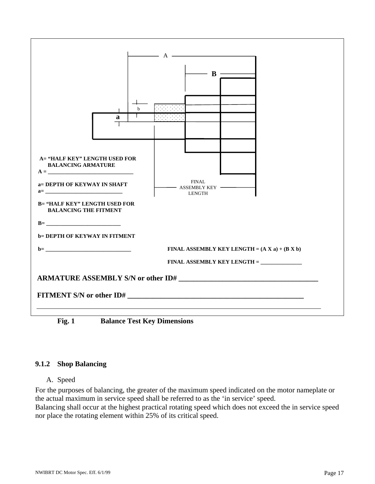

 **Fig. 1 Balance Test Key Dimensions** 

#### **9.1.2 Shop Balancing**

#### A. Speed

For the purposes of balancing, the greater of the maximum speed indicated on the motor nameplate or the actual maximum in service speed shall be referred to as the 'in service' speed.

Balancing shall occur at the highest practical rotating speed which does not exceed the in service speed nor place the rotating element within 25% of its critical speed.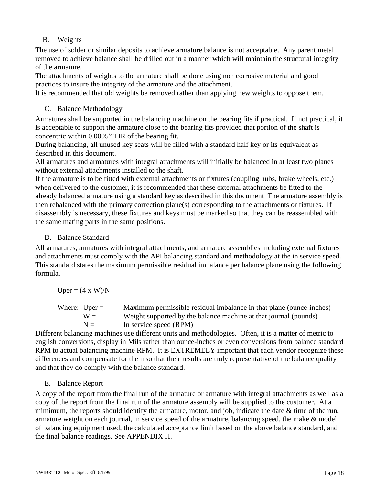#### B. Weights

The use of solder or similar deposits to achieve armature balance is not acceptable. Any parent metal removed to achieve balance shall be drilled out in a manner which will maintain the structural integrity of the armature.

The attachments of weights to the armature shall be done using non corrosive material and good practices to insure the integrity of the armature and the attachment.

It is recommended that old weights be removed rather than applying new weights to oppose them.

#### C. Balance Methodology

Armatures shall be supported in the balancing machine on the bearing fits if practical. If not practical, it is acceptable to support the armature close to the bearing fits provided that portion of the shaft is concentric within 0.0005" TIR of the bearing fit.

During balancing, all unused key seats will be filled with a standard half key or its equivalent as described in this document.

All armatures and armatures with integral attachments will initially be balanced in at least two planes without external attachments installed to the shaft.

If the armature is to be fitted with external attachments or fixtures (coupling hubs, brake wheels, etc.) when delivered to the customer, it is recommended that these external attachments be fitted to the already balanced armature using a standard key as described in this document The armature assembly is then rebalanced with the primary correction plane(s) corresponding to the attachments or fixtures. If disassembly is necessary, these fixtures and keys must be marked so that they can be reassembled with the same mating parts in the same positions.

#### D. Balance Standard

All armatures, armatures with integral attachments, and armature assemblies including external fixtures and attachments must comply with the API balancing standard and methodology at the in service speed. This standard states the maximum permissible residual imbalance per balance plane using the following formula.

 $Uper = (4 \times W)/N$ 

| Where: $Uper =$ | Maximum permissible residual imbalance in that plane (ounce-inches) |
|-----------------|---------------------------------------------------------------------|
| $W =$           | Weight supported by the balance machine at that journal (pounds)    |
| $N =$           | In service speed (RPM)                                              |

Different balancing machines use different units and methodologies. Often, it is a matter of metric to english conversions, display in Mils rather than ounce-inches or even conversions from balance standard RPM to actual balancing machine RPM. It is EXTREMELY important that each vendor recognize these differences and compensate for them so that their results are truly representative of the balance quality and that they do comply with the balance standard.

#### E. Balance Report

A copy of the report from the final run of the armature or armature with integral attachments as well as a copy of the report from the final run of the armature assembly will be supplied to the customer. At a mimimum, the reports should identify the armature, motor, and job, indicate the date  $\&$  time of the run, armature weight on each journal, in service speed of the armature, balancing speed, the make & model of balancing equipment used, the calculated acceptance limit based on the above balance standard, and the final balance readings. See APPENDIX H.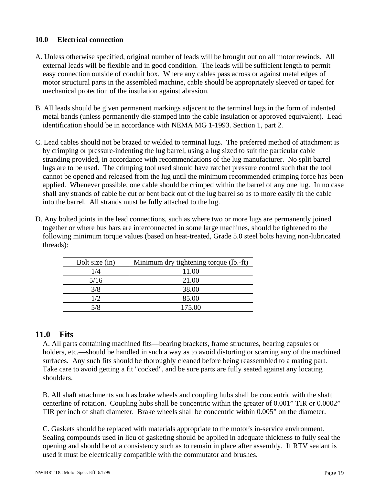#### **10.0 Electrical connection**

- A. Unless otherwise specified, original number of leads will be brought out on all motor rewinds. All external leads will be flexible and in good condition. The leads will be sufficient length to permit easy connection outside of conduit box.Where any cables pass across or against metal edges of motor structural parts in the assembled machine, cable should be appropriately sleeved or taped for mechanical protection of the insulation against abrasion.
- B. All leads should be given permanent markings adjacent to the terminal lugs in the form of indented metal bands (unless permanently die-stamped into the cable insulation or approved equivalent). Lead identification should be in accordance with NEMA MG 1-1993. Section 1, part 2.
- C. Lead cables should not be brazed or welded to terminal lugs. The preferred method of attachment is by crimping or pressure-indenting the lug barrel, using a lug sized to suit the particular cable stranding provided, in accordance with recommendations of the lug manufacturer. No split barrel lugs are to be used. The crimping tool used should have ratchet pressure control such that the tool cannot be opened and released from the lug until the minimum recommended crimping force has been applied. Whenever possible, one cable should be crimped within the barrel of any one lug. In no case shall any strands of cable be cut or bent back out of the lug barrel so as to more easily fit the cable into the barrel. All strands must be fully attached to the lug.
- D. Any bolted joints in the lead connections, such as where two or more lugs are permanently joined together or where bus bars are interconnected in some large machines, should be tightened to the following minimum torque values (based on heat-treated, Grade 5.0 steel bolts having non-lubricated threads):

| Bolt size (in) | Minimum dry tightening torque (lb.-ft) |
|----------------|----------------------------------------|
| 1/4            | 11.00                                  |
| 5/16           | 21.00                                  |
| 3/8            | 38.00                                  |
| 1/2            | 85.00                                  |
| 5/8            | 175.00                                 |

#### **11.0 Fits**

 A. All parts containing machined fits—bearing brackets, frame structures, bearing capsules or holders, etc.—should be handled in such a way as to avoid distorting or scarring any of the machined surfaces. Any such fits should be thoroughly cleaned before being reassembled to a mating part. Take care to avoid getting a fit "cocked", and be sure parts are fully seated against any locating shoulders.

 B. All shaft attachments such as brake wheels and coupling hubs shall be concentric with the shaft centerline of rotation. Coupling hubs shall be concentric within the greater of 0.001" TIR or 0.0002" TIR per inch of shaft diameter. Brake wheels shall be concentric within 0.005" on the diameter.

 C. Gaskets should be replaced with materials appropriate to the motor's in-service environment. Sealing compounds used in lieu of gasketing should be applied in adequate thickness to fully seal the opening and should be of a consistency such as to remain in place after assembly. If RTV sealant is used it must be electrically compatible with the commutator and brushes.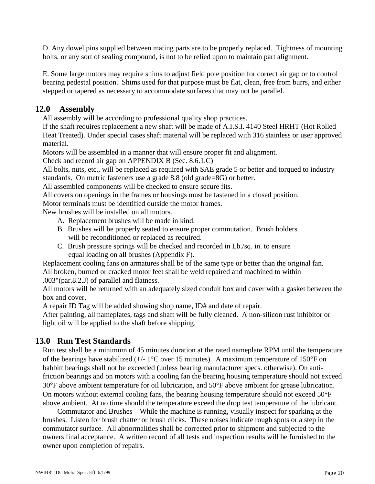D. Any dowel pins supplied between mating parts are to be properly replaced. Tightness of mounting bolts, or any sort of sealing compound, is not to be relied upon to maintain part alignment.

 E. Some large motors may require shims to adjust field pole position for correct air gap or to control bearing pedestal position. Shims used for that purpose must be flat, clean, free from burrs, and either stepped or tapered as necessary to accommodate surfaces that may not be parallel.

#### **12.0 Assembly**

All assembly will be according to professional quality shop practices.

 If the shaft requires replacement a new shaft will be made of A.I.S.I. 4140 Steel HRHT (Hot Rolled Heat Treated). Under special cases shaft material will be replaced with 316 stainless or user approved material.

Motors will be assembled in a manner that will ensure proper fit and alignment.

Check and record air gap on APPENDIX B (Sec. 8.6.1.C)

 All bolts, nuts, etc., will be replaced as required with SAE grade 5 or better and torqued to industry standards. On metric fasteners use a grade 8.8 (old grade=8G) or better.

All assembled components will be checked to ensure secure fits.

All covers on openings in the frames or housings must be fastened in a closed position.

Motor terminals must be identified outside the motor frames.

New brushes will be installed on all motors.

- A. Replacement brushes will be made in kind.
- B. Brushes will be properly seated to ensure proper commutation. Brush holders will be reconditioned or replaced as required.
- C. Brush pressure springs will be checked and recorded in Lb./sq. in. to ensure equal loading on all brushes (Appendix F).

 Replacement cooling fans on armatures shall be of the same type or better than the original fan. All broken, burned or cracked motor feet shall be weld repaired and machined to within

.003"(par.8.2.J) of parallel and flatness.

 All motors will be returned with an adequately sized conduit box and cover with a gasket between the box and cover.

A repair ID Tag will be added showing shop name, ID# and date of repair.

 After painting, all nameplates, tags and shaft will be fully cleaned. A non-silicon rust inhibitor or light oil will be applied to the shaft before shipping.

#### **13.0 Run Test Standards**

 Run test shall be a minimum of 45 minutes duration at the rated nameplate RPM until the temperature of the bearings have stabilized  $(+/- 1^{\circ}C$  over 15 minutes). A maximum temperature of 150°F on babbitt bearings shall not be exceeded (unless bearing manufacturer specs. otherwise). On antifriction bearings and on motors with a cooling fan the bearing housing temperature should not exceed 30°F above ambient temperature for oil lubrication, and 50°F above ambient for grease lubrication. On motors without external cooling fans, the bearing housing temperature should not exceed 50°F above ambient. At no time should the temperature exceed the drop test temperature of the lubricant.

 Commutator and Brushes – While the machine is running, visually inspect for sparking at the brushes. Listen for brush chatter or brush clicks. These noises indicate rough spots or a step in the commutator surface. All abnormalities shall be corrected prior to shipment and subjected to the owners final acceptance. A written record of all tests and inspection results will be furnished to the owner upon completion of repairs.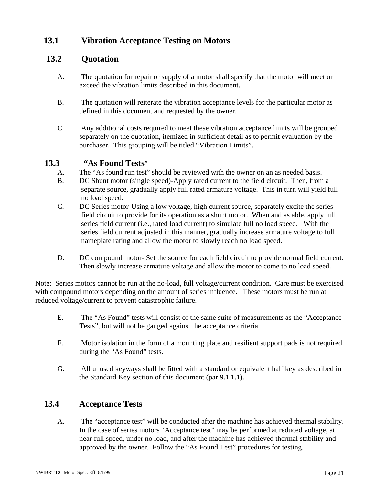#### **13.1 Vibration Acceptance Testing on Motors**

#### **13.2 Quotation**

- A. The quotation for repair or supply of a motor shall specify that the motor will meet or exceed the vibration limits described in this document.
- B. The quotation will reiterate the vibration acceptance levels for the particular motor as defined in this document and requested by the owner.
- C. Any additional costs required to meet these vibration acceptance limits will be grouped separately on the quotation, itemized in sufficient detail as to permit evaluation by the purchaser. This grouping will be titled "Vibration Limits".

#### **13.3 "As Found Tests**"

- A. The "As found run test" should be reviewed with the owner on an as needed basis.
- B. DC Shunt motor (single speed)-Apply rated current to the field circuit. Then, from a separate source, gradually apply full rated armature voltage. This in turn will yield full no load speed.
- C. DC Series motor-Using a low voltage, high current source, separately excite the series field circuit to provide for its operation as a shunt motor. When and as able, apply full series field current (i.e., rated load current) to simulate full no load speed. With the series field current adjusted in this manner, gradually increase armature voltage to full nameplate rating and allow the motor to slowly reach no load speed.
- D. DC compound motor- Set the source for each field circuit to provide normal field current. Then slowly increase armature voltage and allow the motor to come to no load speed.

Note: Series motors cannot be run at the no-load, full voltage/current condition. Care must be exercised with compound motors depending on the amount of series influence. These motors must be run at reduced voltage/current to prevent catastrophic failure.

- E. The "As Found" tests will consist of the same suite of measurements as the "Acceptance Tests", but will not be gauged against the acceptance criteria.
- F. Motor isolation in the form of a mounting plate and resilient support pads is not required during the "As Found" tests.
- G. All unused keyways shall be fitted with a standard or equivalent half key as described in the Standard Key section of this document (par 9.1.1.1).

#### **13.4 Acceptance Tests**

A. The "acceptance test" will be conducted after the machine has achieved thermal stability. In the case of series motors "Acceptance test" may be performed at reduced voltage, at near full speed, under no load, and after the machine has achieved thermal stability and approved by the owner. Follow the "As Found Test" procedures for testing.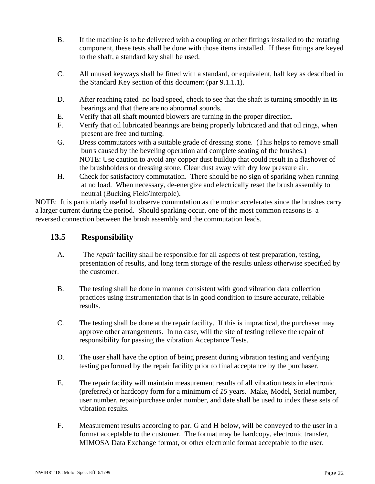- B. If the machine is to be delivered with a coupling or other fittings installed to the rotating component, these tests shall be done with those items installed. If these fittings are keyed to the shaft, a standard key shall be used.
- C. All unused keyways shall be fitted with a standard, or equivalent, half key as described in the Standard Key section of this document (par 9.1.1.1).
- D. After reaching rated no load speed, check to see that the shaft is turning smoothly in its bearings and that there are no abnormal sounds.
- E. Verify that all shaft mounted blowers are turning in the proper direction.
- F. Verify that oil lubricated bearings are being properly lubricated and that oil rings, when present are free and turning.
- G. Dress commutators with a suitable grade of dressing stone. (This helps to remove small burrs caused by the beveling operation and complete seating of the brushes.) NOTE: Use caution to avoid any copper dust buildup that could result in a flashover of the brushholders or dressing stone. Clear dust away with dry low pressure air.
- H. Check for satisfactory commutation. There should be no sign of sparking when running at no load. When necessary, de-energize and electrically reset the brush assembly to neutral (Bucking Field/Interpole).

NOTE: It is particularly useful to observe commutation as the motor accelerates since the brushes carry a larger current during the period. Should sparking occur, one of the most common reasons is a reversed connection between the brush assembly and the commutation leads.

#### **13.5 Responsibility**

- A. The *repair* facility shall be responsible for all aspects of test preparation, testing, presentation of results, and long term storage of the results unless otherwise specified by the customer.
- B. The testing shall be done in manner consistent with good vibration data collection practices using instrumentation that is in good condition to insure accurate, reliable results.
- C. The testing shall be done at the repair facility. If this is impractical, the purchaser may approve other arrangements. In no case, will the site of testing relieve the repair of responsibility for passing the vibration Acceptance Tests.
- D. The user shall have the option of being present during vibration testing and verifying testing performed by the repair facility prior to final acceptance by the purchaser.
- E. The repair facility will maintain measurement results of all vibration tests in electronic (preferred) or hardcopy form for a minimum of *15* years. Make, Model, Serial number, user number, repair/purchase order number, and date shall be used to index these sets of vibration results.
- F. Measurement results according to par. G and H below, will be conveyed to the user in a format acceptable to the customer. The format may be hardcopy, electronic transfer, MIMOSA Data Exchange format, or other electronic format acceptable to the user.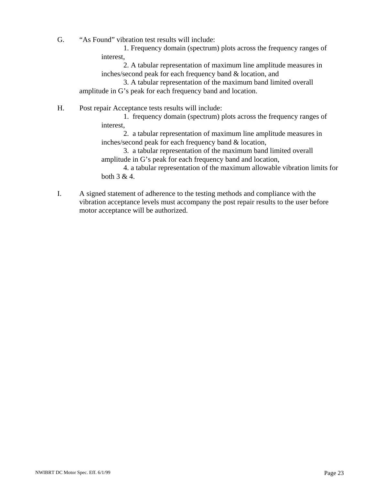G. "As Found" vibration test results will include:

 1. Frequency domain (spectrum) plots across the frequency ranges of interest,

 2. A tabular representation of maximum line amplitude measures in inches/second peak for each frequency band & location, and

 3. A tabular representation of the maximum band limited overall amplitude in G's peak for each frequency band and location.

H. Post repair Acceptance tests results will include:

 1. frequency domain (spectrum) plots across the frequency ranges of interest,

 2. a tabular representation of maximum line amplitude measures in inches/second peak for each frequency band & location,

 3. a tabular representation of the maximum band limited overall amplitude in G's peak for each frequency band and location,

 4. a tabular representation of the maximum allowable vibration limits for both 3 & 4.

I. A signed statement of adherence to the testing methods and compliance with the vibration acceptance levels must accompany the post repair results to the user before motor acceptance will be authorized.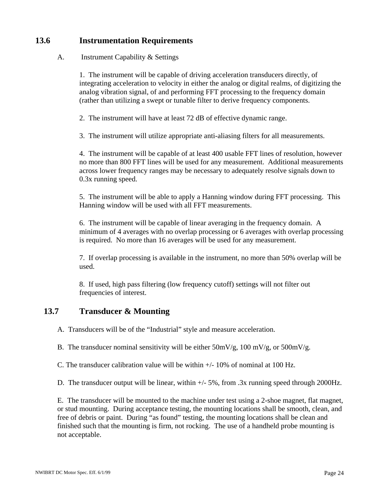#### **13.6 Instrumentation Requirements**

#### A. Instrument Capability & Settings

 1. The instrument will be capable of driving acceleration transducers directly, of integrating acceleration to velocity in either the analog or digital realms, of digitizing the analog vibration signal, of and performing FFT processing to the frequency domain (rather than utilizing a swept or tunable filter to derive frequency components.

2. The instrument will have at least 72 dB of effective dynamic range.

3. The instrument will utilize appropriate anti-aliasing filters for all measurements.

 4. The instrument will be capable of at least 400 usable FFT lines of resolution, however no more than 800 FFT lines will be used for any measurement. Additional measurements across lower frequency ranges may be necessary to adequately resolve signals down to 0.3x running speed.

 5. The instrument will be able to apply a Hanning window during FFT processing. This Hanning window will be used with all FFT measurements.

 6. The instrument will be capable of linear averaging in the frequency domain. A minimum of 4 averages with no overlap processing or 6 averages with overlap processing is required. No more than 16 averages will be used for any measurement.

 7. If overlap processing is available in the instrument, no more than 50% overlap will be used.

 8. If used, high pass filtering (low frequency cutoff) settings will not filter out frequencies of interest.

#### **13.7 Transducer & Mounting**

A. Transducers will be of the "Industrial" style and measure acceleration.

B. The transducer nominal sensitivity will be either  $50 \text{mV/g}$ ,  $100 \text{ mV/g}$ , or  $500 \text{mV/g}$ .

C. The transducer calibration value will be within  $+/-10\%$  of nominal at 100 Hz.

D. The transducer output will be linear, within +/- 5%, from .3x running speed through 2000Hz.

E. The transducer will be mounted to the machine under test using a 2-shoe magnet, flat magnet, or stud mounting. During acceptance testing, the mounting locations shall be smooth, clean, and free of debris or paint. During "as found" testing, the mounting locations shall be clean and finished such that the mounting is firm, not rocking. The use of a handheld probe mounting is not acceptable.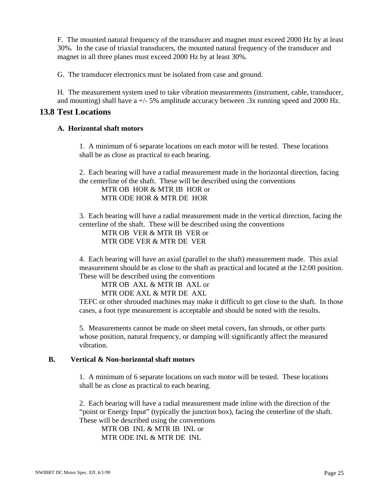F. The mounted natural frequency of the transducer and magnet must exceed 2000 Hz by at least 30%. In the case of triaxial transducers, the mounted natural frequency of the transducer and magnet in all three planes must exceed 2000 Hz by at least 30%.

G. The transducer electronics must be isolated from case and ground.

H. The measurement system used to take vibration measurements (instrument, cable, transducer, and mounting) shall have  $a +/5\%$  amplitude accuracy between .3x running speed and 2000 Hz.

#### **13.8 Test Locations**

#### **A. Horizontal shaft motors**

 1. A minimum of 6 separate locations on each motor will be tested. These locations shall be as close as practical to each bearing.

 2. Each bearing will have a radial measurement made in the horizontal direction, facing the centerline of the shaft. These will be described using the conventions

 MTR OB HOR & MTR IB HOR or MTR ODE HOR & MTR DE HOR

 3. Each bearing will have a radial measurement made in the vertical direction, facing the centerline of the shaft. These will be described using the conventions

 MTR OB VER & MTR IB VER or MTR ODE VER & MTR DE VER

 4. Each bearing will have an axial (parallel to the shaft) measurement made. This axial measurement should be as close to the shaft as practical and located at the 12:00 position. These will be described using the conventions

 MTR OB AXL & MTR IB AXL or MTR ODE AXL & MTR DE AXL

TEFC or other shrouded machines may make it difficult to get close to the shaft. In those cases, a foot type measurement is acceptable and should be noted with the results.

 5. Measurements cannot be made on sheet metal covers, fan shrouds, or other parts whose position, natural frequency, or damping will significantly affect the measured vibration.

#### **B. Vertical & Non-horizontal shaft motors**

 1. A minimum of 6 separate locations on each motor will be tested. These locations shall be as close as practical to each bearing.

 2. Each bearing will have a radial measurement made inline with the direction of the "point or Energy Input" (typically the junction box), facing the centerline of the shaft. These will be described using the conventions

 MTR OB INL & MTR IB INL or MTR ODE INL & MTR DE INL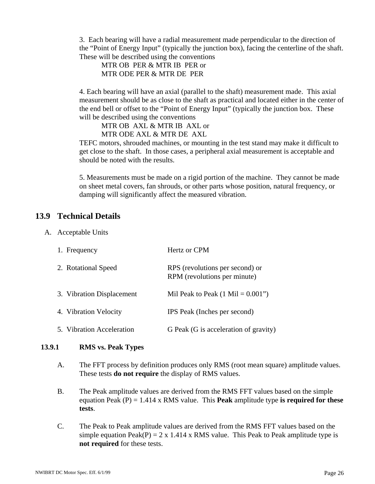3. Each bearing will have a radial measurement made perpendicular to the direction of the "Point of Energy Input" (typically the junction box), facing the centerline of the shaft. These will be described using the conventions

 MTR OB PER & MTR IB PER or MTR ODE PER & MTR DE PER

 4. Each bearing will have an axial (parallel to the shaft) measurement made. This axial measurement should be as close to the shaft as practical and located either in the center of the end bell or offset to the "Point of Energy Input" (typically the junction box. These will be described using the conventions

 MTR OB AXL & MTR IB AXL or MTR ODE AXL & MTR DE AXL

TEFC motors, shrouded machines, or mounting in the test stand may make it difficult to get close to the shaft. In those cases, a peripheral axial measurement is acceptable and should be noted with the results.

 5. Measurements must be made on a rigid portion of the machine. They cannot be made on sheet metal covers, fan shrouds, or other parts whose position, natural frequency, or damping will significantly affect the measured vibration.

#### **13.9 Technical Details**

A. Acceptable Units

| 1. Frequency              | Hertz or CPM                                                    |
|---------------------------|-----------------------------------------------------------------|
| 2. Rotational Speed       | RPS (revolutions per second) or<br>RPM (revolutions per minute) |
| 3. Vibration Displacement | Mil Peak to Peak $(1 \text{ Mil} = 0.001")$                     |
| 4. Vibration Velocity     | IPS Peak (Inches per second)                                    |
| 5. Vibration Acceleration | G Peak (G is acceleration of gravity)                           |

#### **13.9.1 RMS vs. Peak Types**

- A. The FFT process by definition produces only RMS (root mean square) amplitude values. These tests **do not require** the display of RMS values.
- B. The Peak amplitude values are derived from the RMS FFT values based on the simple equation Peak (P) = 1.414 x RMS value. This **Peak** amplitude type **is required for these tests**.
- C. The Peak to Peak amplitude values are derived from the RMS FFT values based on the simple equation Peak(P) = 2 x 1.414 x RMS value. This Peak to Peak amplitude type is **not required** for these tests.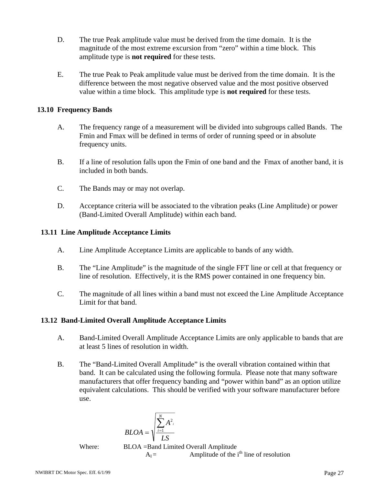- D. The true Peak amplitude value must be derived from the time domain. It is the magnitude of the most extreme excursion from "zero" within a time block. This amplitude type is **not required** for these tests.
- E. The true Peak to Peak amplitude value must be derived from the time domain. It is the difference between the most negative observed value and the most positive observed value within a time block. This amplitude type is **not required** for these tests.

#### **13.10 Frequency Bands**

- A. The frequency range of a measurement will be divided into subgroups called Bands. The Fmin and Fmax will be defined in terms of order of running speed or in absolute frequency units.
- B. If a line of resolution falls upon the Fmin of one band and the Fmax of another band, it is included in both bands.
- C. The Bands may or may not overlap.
- D. Acceptance criteria will be associated to the vibration peaks (Line Amplitude) or power (Band-Limited Overall Amplitude) within each band.

#### **13.11 Line Amplitude Acceptance Limits**

- A. Line Amplitude Acceptance Limits are applicable to bands of any width.
- B. The "Line Amplitude" is the magnitude of the single FFT line or cell at that frequency or line of resolution. Effectively, it is the RMS power contained in one frequency bin.
- C. The magnitude of all lines within a band must not exceed the Line Amplitude Acceptance Limit for that band.

#### **13.12 Band-Limited Overall Amplitude Acceptance Limits**

- A. Band-Limited Overall Amplitude Acceptance Limits are only applicable to bands that are at least 5 lines of resolution in width.
- B. The "Band-Limited Overall Amplitude" is the overall vibration contained within that band. It can be calculated using the following formula. Please note that many software manufacturers that offer frequency banding and "power within band" as an option utilize equivalent calculations. This should be verified with your software manufacturer before use.

$$
BLOA = \sqrt{\sum_{i=1}^{N} A^{2}i}
$$

Where: BLOA =Band Limited Overall Amplitude  $A_I =$  Amplitude of the i<sup>th</sup> line of resolution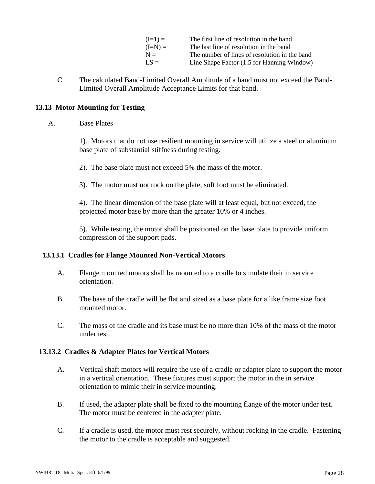| $(I=1) =$ | The first line of resolution in the band      |
|-----------|-----------------------------------------------|
| $(I=N)$ = | The last line of resolution in the band       |
| $N =$     | The number of lines of resolution in the band |
| $LS =$    | Line Shape Factor (1.5 for Hanning Window)    |

C. The calculated Band-Limited Overall Amplitude of a band must not exceed the Band-Limited Overall Amplitude Acceptance Limits for that band.

#### **13.13 Motor Mounting for Testing**

#### A. Base Plates

 1). Motors that do not use resilient mounting in service will utilize a steel or aluminum base plate of substantial stiffness during testing.

- 2). The base plate must not exceed 5% the mass of the motor.
- 3). The motor must not rock on the plate, soft foot must be eliminated.

 4). The linear dimension of the base plate will at least equal, but not exceed, the projected motor base by more than the greater 10% or 4 inches.

 5). While testing, the motor shall be positioned on the base plate to provide uniform compression of the support pads.

#### **13.13.1 Cradles for Flange Mounted Non-Vertical Motors**

- A. Flange mounted motors shall be mounted to a cradle to simulate their in service orientation.
- B. The base of the cradle will be flat and sized as a base plate for a like frame size foot mounted motor.
- C. The mass of the cradle and its base must be no more than 10% of the mass of the motor under test.

#### **13.13.2 Cradles & Adapter Plates for Vertical Motors**

- A. Vertical shaft motors will require the use of a cradle or adapter plate to support the motor in a vertical orientation. These fixtures must support the motor in the in service orientation to mimic their in service mounting.
- B. If used, the adapter plate shall be fixed to the mounting flange of the motor under test. The motor must be centered in the adapter plate.
- C. If a cradle is used, the motor must rest securely, without rocking in the cradle. Fastening the motor to the cradle is acceptable and suggested.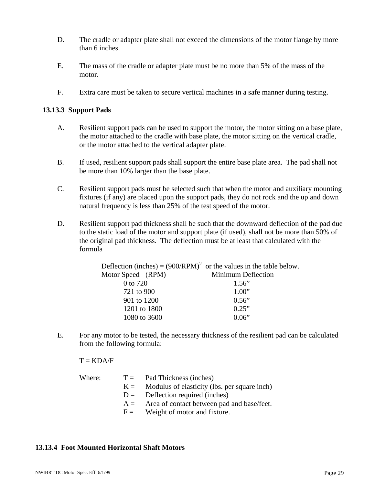- D. The cradle or adapter plate shall not exceed the dimensions of the motor flange by more than 6 inches.
- E. The mass of the cradle or adapter plate must be no more than 5% of the mass of the motor.
- F. Extra care must be taken to secure vertical machines in a safe manner during testing.

#### **13.13.3 Support Pads**

- A. Resilient support pads can be used to support the motor, the motor sitting on a base plate, the motor attached to the cradle with base plate, the motor sitting on the vertical cradle, or the motor attached to the vertical adapter plate.
- B. If used, resilient support pads shall support the entire base plate area. The pad shall not be more than 10% larger than the base plate.
- C. Resilient support pads must be selected such that when the motor and auxiliary mounting fixtures (if any) are placed upon the support pads, they do not rock and the up and down natural frequency is less than 25% of the test speed of the motor.
- D. Resilient support pad thickness shall be such that the downward deflection of the pad due to the static load of the motor and support plate (if used), shall not be more than 50% of the original pad thickness. The deflection must be at least that calculated with the formula

| Deflection (inches) = $(900/RPM)^2$ or the values in the table below. |
|-----------------------------------------------------------------------|
| Minimum Deflection                                                    |
| 1.56"                                                                 |
| 1.00"                                                                 |
| 0.56"                                                                 |
| 0.25"                                                                 |
| 0.06"                                                                 |
|                                                                       |

E. For any motor to be tested, the necessary thickness of the resilient pad can be calculated from the following formula:

 $T = KDA/F$ 

| Where: |       | $T =$ Pad Thickness (inches)                 |
|--------|-------|----------------------------------------------|
|        | $K =$ | Modulus of elasticity (lbs. per square inch) |
|        |       | $D =$ Deflection required (inches)           |
|        | $A =$ | Area of contact between pad and base/feet.   |
|        |       | $F =$ Weight of motor and fixture.           |
|        |       |                                              |

#### **13.13.4 Foot Mounted Horizontal Shaft Motors**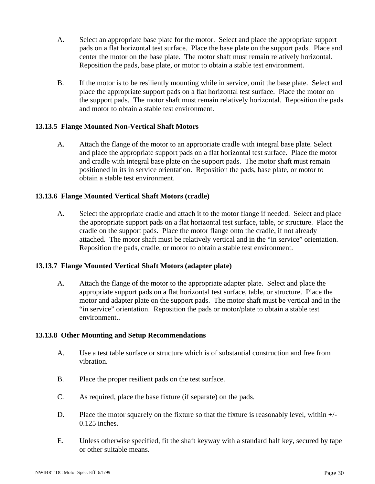- A. Select an appropriate base plate for the motor. Select and place the appropriate support pads on a flat horizontal test surface. Place the base plate on the support pads. Place and center the motor on the base plate. The motor shaft must remain relatively horizontal. Reposition the pads, base plate, or motor to obtain a stable test environment.
- B. If the motor is to be resiliently mounting while in service, omit the base plate. Select and place the appropriate support pads on a flat horizontal test surface. Place the motor on the support pads. The motor shaft must remain relatively horizontal. Reposition the pads and motor to obtain a stable test environment.

#### **13.13.5 Flange Mounted Non-Vertical Shaft Motors**

A. Attach the flange of the motor to an appropriate cradle with integral base plate. Select and place the appropriate support pads on a flat horizontal test surface. Place the motor and cradle with integral base plate on the support pads. The motor shaft must remain positioned in its in service orientation. Reposition the pads, base plate, or motor to obtain a stable test environment.

#### **13.13.6 Flange Mounted Vertical Shaft Motors (cradle)**

A. Select the appropriate cradle and attach it to the motor flange if needed. Select and place the appropriate support pads on a flat horizontal test surface, table, or structure. Place the cradle on the support pads. Place the motor flange onto the cradle, if not already attached. The motor shaft must be relatively vertical and in the "in service" orientation. Reposition the pads, cradle, or motor to obtain a stable test environment.

#### **13.13.7 Flange Mounted Vertical Shaft Motors (adapter plate)**

A. Attach the flange of the motor to the appropriate adapter plate. Select and place the appropriate support pads on a flat horizontal test surface, table, or structure. Place the motor and adapter plate on the support pads. The motor shaft must be vertical and in the "in service" orientation. Reposition the pads or motor/plate to obtain a stable test environment..

#### **13.13.8 Other Mounting and Setup Recommendations**

- A. Use a test table surface or structure which is of substantial construction and free from vibration.
- B. Place the proper resilient pads on the test surface.
- C. As required, place the base fixture (if separate) on the pads.
- D. Place the motor squarely on the fixture so that the fixture is reasonably level, within +/- 0.125 inches.
- E. Unless otherwise specified, fit the shaft keyway with a standard half key, secured by tape or other suitable means.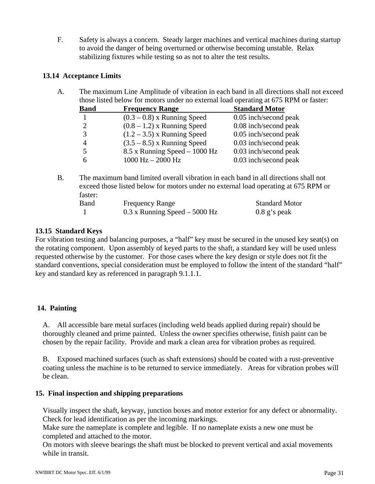F. Safety is always a concern. Steady larger machines and vertical machines during startup to avoid the danger of being overturned or otherwise becoming unstable. Relax stabilizing fixtures while testing so as not to alter the test results.

#### **13.14 Acceptance Limits**

A. The maximum Line Amplitude of vibration in each band in all directions shall not exceed those listed below for motors under no external load operating at 675 RPM or faster:

| <b>Band</b> | <b>Frequency Range</b>          | <b>Standard Motor</b> |
|-------------|---------------------------------|-----------------------|
|             | $(0.3 - 0.8)$ x Running Speed   | 0.05 inch/second peak |
|             | $(0.8 - 1.2)$ x Running Speed   | 0.08 inch/second peak |
| 3           | $(1.2 - 3.5)$ x Running Speed   | 0.05 inch/second peak |
| 4           | $(3.5 - 8.5)$ x Running Speed   | 0.03 inch/second peak |
| 5           | $8.5$ x Running Speed – 1000 Hz | 0.03 inch/second peak |
|             | $1000$ Hz $- 2000$ Hz           | 0.03 inch/second peak |

B. The maximum band limited overall vibration in each band in all directions shall not exceed those listed below for motors under no external load operating at 675 RPM or faster: Band Frequency Range Standard Motor 1 0.3 x Running Speed – 5000 Hz 0.8 g's peak

## **13.15 Standard Keys**

For vibration testing and balancing purposes, a "half" key must be secured in the unused key seat(s) on the rotating component. Upon assembly of keyed parts to the shaft, a standard key will be used unless requested otherwise by the customer. For those cases where the key design or style does not fit the standard conventions, special consideration must be employed to follow the intent of the standard "half" key and standard key as referenced in paragraph 9.1.1.1.

#### **14. Painting**

 A. All accessible bare metal surfaces (including weld beads applied during repair) should be thoroughly cleaned and prime painted. Unless the owner specifies otherwise, finish paint can be chosen by the repair facility. Provide and mark a clean area for vibration probes as required.

 B. Exposed machined surfaces (such as shaft extensions) should be coated with a rust-preventive coating unless the machine is to be returned to service immediately. Areas for vibration probes will be clean.

#### **15. Final inspection and shipping preparations**

 Visually inspect the shaft, keyway, junction boxes and motor exterior for any defect or abnormality. Check for lead identification as per the incoming markings.

 Make sure the nameplate is complete and legible. If no nameplate exists a new one must be completed and attached to the motor.

 On motors with sleeve bearings the shaft must be blocked to prevent vertical and axial movements while in transit.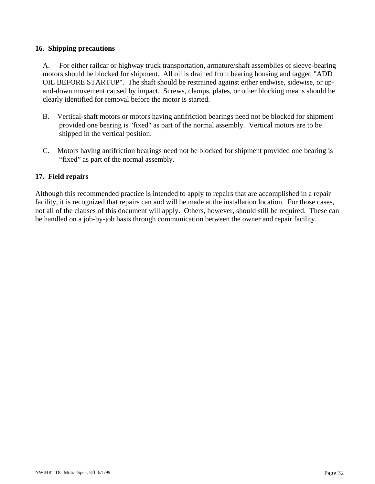#### **16. Shipping precautions**

 A. For either railcar or highway truck transportation, armature/shaft assemblies of sleeve-bearing motors should be blocked for shipment. All oil is drained from bearing housing and tagged "ADD OIL BEFORE STARTUP". The shaft should be restrained against either endwise, sidewise, or upand-down movement caused by impact. Screws, clamps, plates, or other blocking means should be clearly identified for removal before the motor is started.

- B. Vertical-shaft motors or motors having antifriction bearings need not be blocked for shipment provided one bearing is "fixed" as part of the normal assembly. Vertical motors are to be shipped in the vertical position.
- C. Motors having antifriction bearings need not be blocked for shipment provided one bearing is "fixed" as part of the normal assembly.

#### **17. Field repairs**

Although this recommended practice is intended to apply to repairs that are accomplished in a repair facility, it is recognized that repairs can and will be made at the installation location. For those cases, not all of the clauses of this document will apply. Others, however, should still be required. These can be handled on a job-by-job basis through communication between the owner and repair facility.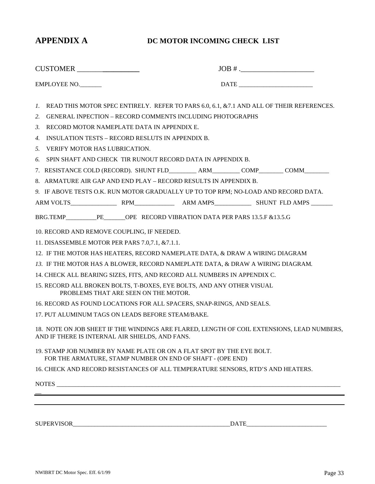#### **APPENDIX A DC MOTOR INCOMING CHECK LIST**

| CUSTOMER                                                                                                                                                                                                                                                                                                                                                                                                                                                                                                                                                                                                                                                      | JOB # .          |
|---------------------------------------------------------------------------------------------------------------------------------------------------------------------------------------------------------------------------------------------------------------------------------------------------------------------------------------------------------------------------------------------------------------------------------------------------------------------------------------------------------------------------------------------------------------------------------------------------------------------------------------------------------------|------------------|
| EMPLOYEE NO.                                                                                                                                                                                                                                                                                                                                                                                                                                                                                                                                                                                                                                                  |                  |
| READ THIS MOTOR SPEC ENTIRELY. REFER TO PARS 6.0, 6.1, & 7.1 AND ALL OF THEIR REFERENCES.<br>1.<br>GENERAL INPECTION - RECORD COMMENTS INCLUDING PHOTOGRAPHS<br>2.<br>RECORD MOTOR NAMEPLATE DATA IN APPENDIX E.<br>3.                                                                                                                                                                                                                                                                                                                                                                                                                                        |                  |
| <b>INSULATION TESTS – RECORD RESLUTS IN APPENDIX B.</b><br>4.<br><b>VERIFY MOTOR HAS LUBRICATION.</b><br>5.<br>SPIN SHAFT AND CHECK TIR RUNOUT RECORD DATA IN APPENDIX B.<br>6.                                                                                                                                                                                                                                                                                                                                                                                                                                                                               |                  |
| 8. ARMATURE AIR GAP AND END PLAY – RECORD RESULTS IN APPENDIX B.<br>9. IF ABOVE TESTS O.K. RUN MOTOR GRADUALLY UP TO TOP RPM; NO-LOAD AND RECORD DATA.                                                                                                                                                                                                                                                                                                                                                                                                                                                                                                        |                  |
| BRG.TEMP PE OPE RECORD VIBRATION DATA PER PARS 13.5.F & 13.5.G<br>10. RECORD AND REMOVE COUPLING, IF NEEDED.<br>11. DISASSEMBLE MOTOR PER PARS 7.0,7.1, & 7.1.1.<br>12. IF THE MOTOR HAS HEATERS, RECORD NAMEPLATE DATA, & DRAW A WIRING DIAGRAM<br>13. IF THE MOTOR HAS A BLOWER, RECORD NAMEPLATE DATA, & DRAW A WIRING DIAGRAM.<br>14. CHECK ALL BEARING SIZES, FITS, AND RECORD ALL NUMBERS IN APPENDIX C.<br>15. RECORD ALL BROKEN BOLTS, T-BOXES, EYE BOLTS, AND ANY OTHER VISUAL<br>PROBLEMS THAT ARE SEEN ON THE MOTOR.<br>16. RECORD AS FOUND LOCATIONS FOR ALL SPACERS, SNAP-RINGS, AND SEALS.<br>17. PUT ALUMINUM TAGS ON LEADS BEFORE STEAM/BAKE. |                  |
| 18. NOTE ON JOB SHEET IF THE WINDINGS ARE FLARED, LENGTH OF COIL EXTENSIONS, LEAD NUMBERS,<br>AND IF THERE IS INTERNAL AIR SHIELDS, AND FANS.                                                                                                                                                                                                                                                                                                                                                                                                                                                                                                                 |                  |
| 19. STAMP JOB NUMBER BY NAME PLATE OR ON A FLAT SPOT BY THE EYE BOLT.<br>FOR THE ARMATURE, STAMP NUMBER ON END OF SHAFT - (OPE END)                                                                                                                                                                                                                                                                                                                                                                                                                                                                                                                           |                  |
| 16. CHECK AND RECORD RESISTANCES OF ALL TEMPERATURE SENSORS, RTD'S AND HEATERS.                                                                                                                                                                                                                                                                                                                                                                                                                                                                                                                                                                               |                  |
| ,我们也不会有什么。""我们的人,我们也不会有什么?""我们的人,我们也不会有什么?""我们的人,我们也不会有什么?""我们的人,我们也不会有什么?""我们的人                                                                                                                                                                                                                                                                                                                                                                                                                                                                                                                                                                              |                  |
| SUPERVISOR                                                                                                                                                                                                                                                                                                                                                                                                                                                                                                                                                                                                                                                    | DATE <b>DATE</b> |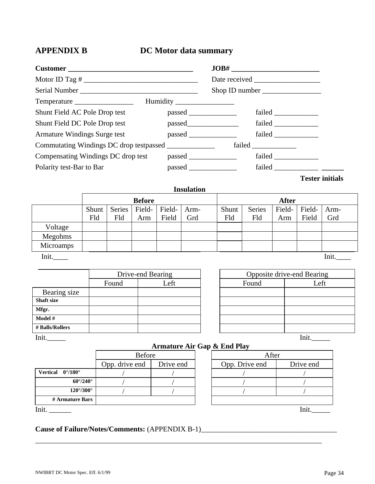### **APPENDIX B DC Motor data summary**

|                                                        |  | Shop ID number     |                        |  |
|--------------------------------------------------------|--|--------------------|------------------------|--|
|                                                        |  |                    |                        |  |
| Shunt Field AC Pole Drop test                          |  | $p$ assed $\qquad$ |                        |  |
| Shunt Field DC Pole Drop test                          |  | failed             |                        |  |
| Armature Windings Surge test                           |  | failed             |                        |  |
| Commutating Windings DC drop testpassed ______________ |  |                    |                        |  |
| Compensating Windings DC drop test                     |  |                    |                        |  |
| Polarity test-Bar to Bar                               |  | failed             |                        |  |
|                                                        |  |                    | <b>Tester initials</b> |  |

#### **Insulation**

|           | <b>Before</b> |        |        | <b>After</b> |      |       |               |        |        |      |
|-----------|---------------|--------|--------|--------------|------|-------|---------------|--------|--------|------|
|           | Shunt         | Series | Field- | Field-       | Arm- | Shunt | <b>Series</b> | Field- | Field- | Arm- |
|           | Fld           | Fld    | Arm    | Field        | Grd  | Fld   | Fld           | Arm    | Field  | Grd  |
| Voltage   |               |        |        |              |      |       |               |        |        |      |
| Megohms   |               |        |        |              |      |       |               |        |        |      |
| Microamps |               |        |        |              |      |       |               |        |        |      |
| Init.     |               |        |        |              |      |       |               |        |        | Init |

|                   | Drive-end Bearing |      |       | Opposite drive-end Bearing |
|-------------------|-------------------|------|-------|----------------------------|
|                   | Found             | Left | Found | Left                       |
| Bearing size      |                   |      |       |                            |
| <b>Shaft size</b> |                   |      |       |                            |
| Mfgr.             |                   |      |       |                            |
| Model #           |                   |      |       |                            |
| # Balls/Rollers   |                   |      |       |                            |
| Init.             |                   |      |       | Init                       |

| Opposite drive-end Bearing |      |  |  |  |  |  |
|----------------------------|------|--|--|--|--|--|
| Found                      | Left |  |  |  |  |  |
|                            |      |  |  |  |  |  |
|                            |      |  |  |  |  |  |
|                            |      |  |  |  |  |  |
|                            |      |  |  |  |  |  |
|                            |      |  |  |  |  |  |
|                            |      |  |  |  |  |  |

 **Armature Air Gap & End Play** 

|                                         | Before         |           | After          |           |  |
|-----------------------------------------|----------------|-----------|----------------|-----------|--|
|                                         | Opp. drive end | Drive end | Opp. Drive end | Drive end |  |
| <b>Vertical</b> $0^{\circ}/180^{\circ}$ |                |           |                |           |  |
| $60^{\circ}/240^{\circ}$                |                |           |                |           |  |
| $120^{\circ}/300^{\circ}$               |                |           |                |           |  |
| # Armature Bars                         |                |           |                |           |  |
| Init.                                   |                |           |                | Ini       |  |

\_\_\_\_\_\_\_\_\_\_\_\_\_\_\_\_\_\_\_\_\_\_\_\_\_\_\_\_\_\_\_\_\_\_\_\_\_\_\_\_\_\_\_\_\_\_\_\_\_\_\_\_\_\_\_\_\_\_\_\_\_\_\_\_\_\_\_\_\_\_\_\_\_\_\_\_\_\_

### Cause of Failure/Notes/Comments: (APPENDIX B-1)\_\_\_\_\_\_\_\_\_\_\_\_\_\_\_\_\_\_\_\_\_\_\_\_\_\_\_\_\_\_\_\_\_\_\_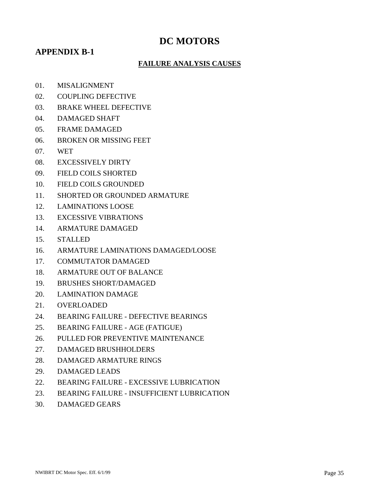### **DC MOTORS**

#### **APPENDIX B-1**

#### **FAILURE ANALYSIS CAUSES**

- 01. MISALIGNMENT
- 02. COUPLING DEFECTIVE
- 03. BRAKE WHEEL DEFECTIVE
- 04. DAMAGED SHAFT
- 05. FRAME DAMAGED
- 06. BROKEN OR MISSING FEET
- 07. WET
- 08. EXCESSIVELY DIRTY
- 09. FIELD COILS SHORTED
- 10. FIELD COILS GROUNDED
- 11. SHORTED OR GROUNDED ARMATURE
- 12. LAMINATIONS LOOSE
- 13. EXCESSIVE VIBRATIONS
- 14. ARMATURE DAMAGED
- 15. STALLED
- 16. ARMATURE LAMINATIONS DAMAGED/LOOSE
- 17. COMMUTATOR DAMAGED
- 18. ARMATURE OUT OF BALANCE
- 19. BRUSHES SHORT/DAMAGED
- 20. LAMINATION DAMAGE
- 21. OVERLOADED
- 24. BEARING FAILURE DEFECTIVE BEARINGS
- 25. BEARING FAILURE AGE (FATIGUE)
- 26. PULLED FOR PREVENTIVE MAINTENANCE
- 27. DAMAGED BRUSHHOLDERS
- 28. DAMAGED ARMATURE RINGS
- 29. DAMAGED LEADS
- 22. BEARING FAILURE EXCESSIVE LUBRICATION
- 23. BEARING FAILURE INSUFFICIENT LUBRICATION
- 30. DAMAGED GEARS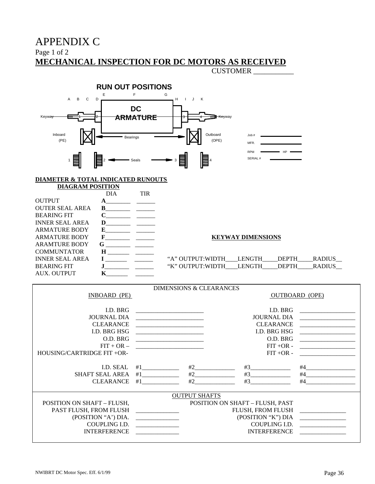### APPENDIX C

Page 1 of 2

### **MECHANICAL INSPECTION FOR DC MOTORS AS RECEIVED**

CUSTOMER \_\_\_\_\_\_\_\_\_\_\_



## SERIAL #

#### **DIAMETER & TOTAL INDICATED RUNOUTS**

| <b>DIAGRAM POSITION</b> |            |
|-------------------------|------------|
|                         | <b>DIA</b> |

|                        | DIA                          | TIR                                                                                |
|------------------------|------------------------------|------------------------------------------------------------------------------------|
| <b>OUTPUT</b>          |                              |                                                                                    |
| <b>OUTER SEAL AREA</b> | B.                           |                                                                                    |
| <b>BEARING FIT</b>     | $\mathbf C$                  | $\overline{\phantom{a}}$ and $\overline{\phantom{a}}$ and $\overline{\phantom{a}}$ |
| <b>INNER SEAL AREA</b> | D                            |                                                                                    |
| <b>ARMATURE BODY</b>   | E                            |                                                                                    |
| <b>ARMATURE BODY</b>   | $\mathbf{F}$ $\qquad \qquad$ |                                                                                    |
| <b>ARAMTURE BODY</b>   | G                            |                                                                                    |
| <b>COMMUNTATOR</b>     | H.                           |                                                                                    |
| <b>INNER SEAL AREA</b> |                              |                                                                                    |
| <b>BEARING FIT</b>     |                              |                                                                                    |
| AUX. OUTPUT            |                              |                                                                                    |
|                        |                              |                                                                                    |

#### **KEYWAY DIMENSIONS**

| INNER SEAL AREA | "A" OUTPUT WIDTH |               | DEPTH | <b>RADILIS</b> |
|-----------------|------------------|---------------|-------|----------------|
| BEARING FIT     | "K" OUTPUT:WIDTH | <b>LENGTH</b> | DEPTH | <b>RADILIS</b> |

HP

| INBOARD (PE)                      |                                                            |                      | <b>DIMENSIONS &amp; CLEARANCES</b> |                                 | <b>OUTBOARD</b> (OPE)                                                                                                |
|-----------------------------------|------------------------------------------------------------|----------------------|------------------------------------|---------------------------------|----------------------------------------------------------------------------------------------------------------------|
|                                   |                                                            |                      |                                    |                                 |                                                                                                                      |
| LD. BRG                           |                                                            |                      |                                    | LD. BRG                         |                                                                                                                      |
| <b>JOURNAL DIA</b>                |                                                            |                      |                                    | <b>JOURNAL DIA</b>              |                                                                                                                      |
| <b>CLEARANCE</b>                  | <u> 1980 - Jan Barbara Barbara, manazarta da </u>          |                      |                                    | <b>CLEARANCE</b>                | <u> 1989 - Jan Samuel Barbara, martin d</u>                                                                          |
|                                   |                                                            |                      |                                    |                                 | <u> 1980 - Jan Samuel Barbara, martin d</u>                                                                          |
| <b>I.D. BRG HSG</b>               | <u> 1980 - Jan Samuel Barbara, martin d</u>                |                      |                                    | <b>I.D. BRG HSG</b>             |                                                                                                                      |
| O.D. BRG                          | <u> 1980 - John Stein, Amerikaansk politiker (</u> † 1920) |                      |                                    | O.D. BRG                        | <u> 1989 - Jan Samuel Barbara, martin a</u>                                                                          |
| $FIT + OR -$                      |                                                            |                      |                                    | $FIT + OR -$                    | <u> 1989 - Jan Stein Stein Stein Stein Stein Stein Stein Stein Stein Stein Stein Stein Stein Stein Stein Stein S</u> |
| HOUSING/CARTRIDGE FIT +OR-        |                                                            |                      |                                    | $FIT + OR -$                    | <u> 1980 - John Stein, Amerikaansk kan</u>                                                                           |
| I.D. SEAL                         |                                                            |                      |                                    |                                 |                                                                                                                      |
| SHAFT SEAL AREA                   |                                                            |                      | #2                                 | #3                              | #4                                                                                                                   |
|                                   |                                                            |                      |                                    |                                 | #4                                                                                                                   |
| <b>CLEARANCE</b>                  | #1                                                         |                      | #2                                 | #3                              |                                                                                                                      |
|                                   |                                                            | <b>OUTPUT SHAFTS</b> |                                    |                                 |                                                                                                                      |
| <b>POSITION ON SHAFT - FLUSH,</b> |                                                            |                      |                                    | POSITION ON SHAFT - FLUSH, PAST |                                                                                                                      |
| PAST FLUSH, FROM FLUSH            |                                                            |                      |                                    | FLUSH, FROM FLUSH               |                                                                                                                      |
| (POSITION "A") DIA.               |                                                            |                      |                                    |                                 |                                                                                                                      |
|                                   | (POSITION "K") DIA                                         |                      |                                    |                                 |                                                                                                                      |
| COUPLING I.D.                     | <u> 1980 - Jan Samuel Barbara, poeta esta</u>              |                      |                                    | COUPLING I.D.                   | <u> 1980 - Jan Sarajević, politik po</u>                                                                             |
| <b>INTERFERENCE</b>               |                                                            |                      |                                    | <b>INTERFERENCE</b>             |                                                                                                                      |
|                                   |                                                            |                      |                                    |                                 |                                                                                                                      |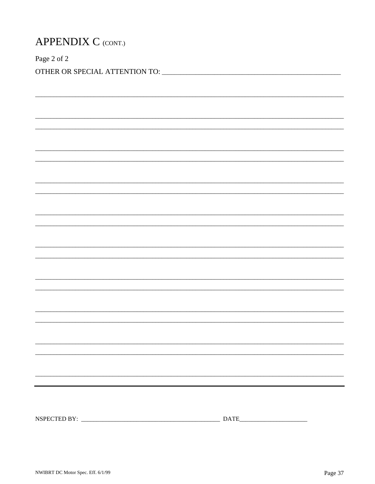| <b>APPENDIX C (CONT.)</b> |  |  |
|---------------------------|--|--|
| Page 2 of 2               |  |  |
|                           |  |  |
|                           |  |  |
|                           |  |  |
|                           |  |  |
|                           |  |  |
|                           |  |  |
|                           |  |  |
|                           |  |  |
|                           |  |  |
|                           |  |  |
|                           |  |  |
|                           |  |  |
|                           |  |  |
|                           |  |  |
|                           |  |  |
|                           |  |  |
|                           |  |  |
|                           |  |  |
|                           |  |  |
|                           |  |  |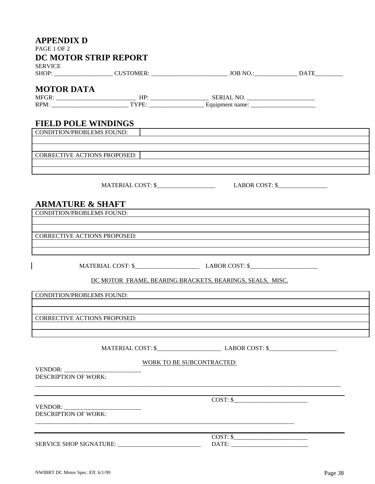| <b>APPENDIX D</b><br>PAGE 1 OF 2    |                                                                                                                        |  |
|-------------------------------------|------------------------------------------------------------------------------------------------------------------------|--|
| <b>DC MOTOR STRIP REPORT</b>        |                                                                                                                        |  |
| <b>SERVICE</b>                      |                                                                                                                        |  |
|                                     |                                                                                                                        |  |
| <b>MOTOR DATA</b>                   |                                                                                                                        |  |
|                                     |                                                                                                                        |  |
|                                     |                                                                                                                        |  |
| <b>FIELD POLE WINDINGS</b>          |                                                                                                                        |  |
| <b>CONDITION/PROBLEMS FOUND:</b>    | <u> 1989 - Johann Stoff, deutscher Stoffen und der Stoffen und der Stoffen und der Stoffen und der Stoffen und der</u> |  |
|                                     |                                                                                                                        |  |
|                                     |                                                                                                                        |  |
| CORRECTIVE ACTIONS PROPOSED:        |                                                                                                                        |  |
|                                     |                                                                                                                        |  |
|                                     |                                                                                                                        |  |
|                                     | MATERIAL COST: \$ LABOR COST: \$                                                                                       |  |
|                                     |                                                                                                                        |  |
| <b>ARMATURE &amp; SHAFT</b>         | <u> 1989 - Johann Stoff, amerikansk politiker (* 1908)</u>                                                             |  |
| <b>CONDITION/PROBLEMS FOUND:</b>    |                                                                                                                        |  |
|                                     |                                                                                                                        |  |
| <b>CORRECTIVE ACTIONS PROPOSED:</b> |                                                                                                                        |  |
|                                     |                                                                                                                        |  |
|                                     |                                                                                                                        |  |
|                                     |                                                                                                                        |  |
|                                     |                                                                                                                        |  |
|                                     | DC MOTOR FRAME, BEARING BRACKETS, BEARINGS, SEALS, MISC.                                                               |  |
| <b>CONDITION/PROBLEMS FOUND:</b>    |                                                                                                                        |  |
|                                     |                                                                                                                        |  |
|                                     |                                                                                                                        |  |
| <b>CORRECTIVE ACTIONS PROPOSED:</b> |                                                                                                                        |  |
|                                     |                                                                                                                        |  |
|                                     |                                                                                                                        |  |
|                                     |                                                                                                                        |  |
|                                     | <b>WORK TO BE SUBCONTRACTED:</b>                                                                                       |  |
| VENDOR:                             |                                                                                                                        |  |
| <b>DESCRIPTION OF WORK:</b>         |                                                                                                                        |  |
|                                     |                                                                                                                        |  |
|                                     | $COST:$ \$                                                                                                             |  |
|                                     |                                                                                                                        |  |
| <b>DESCRIPTION OF WORK:</b>         |                                                                                                                        |  |
|                                     |                                                                                                                        |  |
|                                     | $\overline{\text{COST}}: \S$                                                                                           |  |
|                                     |                                                                                                                        |  |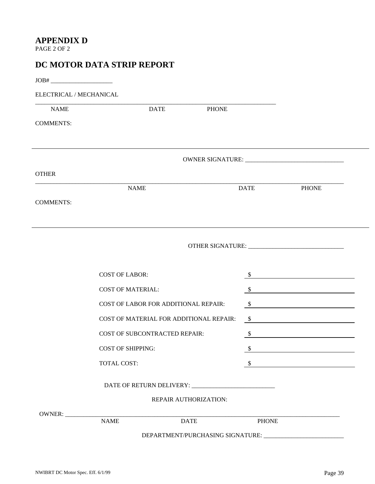#### **APPENDIX D**

PAGE 2 OF 2

| ELECTRICAL / MECHANICAL |                                         |               |                                                                                                                                                                     |
|-------------------------|-----------------------------------------|---------------|---------------------------------------------------------------------------------------------------------------------------------------------------------------------|
| <b>NAME</b>             | <b>DATE</b><br><b>PHONE</b>             |               |                                                                                                                                                                     |
| <b>COMMENTS:</b>        |                                         |               |                                                                                                                                                                     |
|                         |                                         |               |                                                                                                                                                                     |
| <b>OTHER</b>            |                                         |               |                                                                                                                                                                     |
|                         | <b>NAME</b>                             | <b>DATE</b>   | <b>PHONE</b>                                                                                                                                                        |
| <b>COMMENTS:</b>        |                                         |               |                                                                                                                                                                     |
|                         |                                         |               |                                                                                                                                                                     |
|                         |                                         |               |                                                                                                                                                                     |
|                         |                                         |               |                                                                                                                                                                     |
|                         |                                         |               |                                                                                                                                                                     |
|                         | <b>COST OF LABOR:</b>                   |               |                                                                                                                                                                     |
|                         | <b>COST OF MATERIAL:</b>                |               |                                                                                                                                                                     |
|                         | COST OF LABOR FOR ADDITIONAL REPAIR:    |               |                                                                                                                                                                     |
|                         | COST OF MATERIAL FOR ADDITIONAL REPAIR: |               |                                                                                                                                                                     |
|                         | <b>COST OF SUBCONTRACTED REPAIR:</b>    | $\mathcal{S}$ |                                                                                                                                                                     |
|                         | <b>COST OF SHIPPING:</b>                |               |                                                                                                                                                                     |
|                         | TOTAL COST:                             |               |                                                                                                                                                                     |
|                         |                                         |               |                                                                                                                                                                     |
|                         | REPAIR AUTHORIZATION:                   |               | $\frac{1}{2}$<br>$\sim$<br>$\sim$<br>$\sim$<br><u> 1989 - Johann Barn, mars ann an t-Amhain Aonaich an t-Aonaich an t-Aonaich ann an t-Aonaich ann an t-Aonaich</u> |
|                         |                                         |               |                                                                                                                                                                     |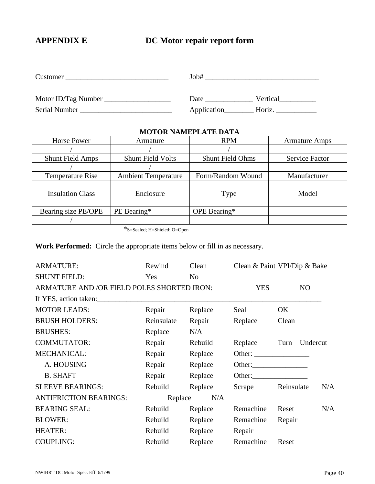### **APPENDIX E DC Motor repair report form**

| Customer            | Job#        |          |
|---------------------|-------------|----------|
| Motor ID/Tag Number | Date        | Vertical |
| Serial Number       | Application | Horiz.   |

#### **MOTOR NAMEPLATE DATA**

| <b>Horse Power</b>      | Armature                   | <b>RPM</b>              | <b>Armature Amps</b>  |
|-------------------------|----------------------------|-------------------------|-----------------------|
|                         |                            |                         |                       |
| <b>Shunt Field Amps</b> | <b>Shunt Field Volts</b>   | <b>Shunt Field Ohms</b> | <b>Service Factor</b> |
|                         |                            |                         |                       |
| <b>Temperature Rise</b> | <b>Ambient Temperature</b> | Form/Random Wound       | Manufacturer          |
|                         |                            |                         |                       |
| <b>Insulation Class</b> | Enclosure                  | Type                    | Model                 |
|                         |                            |                         |                       |
| Bearing size PE/OPE     | PE Bearing*                | OPE Bearing*            |                       |
|                         |                            |                         |                       |

\*S=Sealed; H=Shieled; O=Open

**Work Performed:** Circle the appropriate items below or fill in as necessary.

| <b>ARMATURE:</b>                           | Rewind     | Clean          | Clean & Paint VPI/Dip & Bake |            |          |     |
|--------------------------------------------|------------|----------------|------------------------------|------------|----------|-----|
| <b>SHUNT FIELD:</b>                        | Yes        | N <sub>o</sub> |                              |            |          |     |
| ARMATURE AND /OR FIELD POLES SHORTED IRON: |            |                | <b>YES</b>                   |            | NO       |     |
| If YES, action taken:                      |            |                |                              |            |          |     |
| <b>MOTOR LEADS:</b>                        | Repair     | Replace        | Seal                         | OK         |          |     |
| <b>BRUSH HOLDERS:</b>                      | Reinsulate | Repair         | Replace                      | Clean      |          |     |
| <b>BRUSHES:</b>                            | Replace    | N/A            |                              |            |          |     |
| <b>COMMUTATOR:</b>                         | Repair     | Rebuild        | Replace                      | Turn       | Undercut |     |
| MECHANICAL:                                | Repair     | Replace        |                              |            |          |     |
| A. HOUSING                                 | Repair     | Replace        |                              |            |          |     |
| <b>B. SHAFT</b>                            | Repair     | Replace        |                              |            |          |     |
| <b>SLEEVE BEARINGS:</b>                    | Rebuild    | Replace        | Scrape                       | Reinsulate |          | N/A |
| <b>ANTIFRICTION BEARINGS:</b>              | Replace    | N/A            |                              |            |          |     |
| <b>BEARING SEAL:</b>                       | Rebuild    | Replace        | Remachine                    | Reset      |          | N/A |
| <b>BLOWER:</b>                             | Rebuild    | Replace        | Remachine                    | Repair     |          |     |
| <b>HEATER:</b>                             | Rebuild    | Replace        | Repair                       |            |          |     |
| <b>COUPLING:</b>                           | Rebuild    | Replace        | Remachine                    | Reset      |          |     |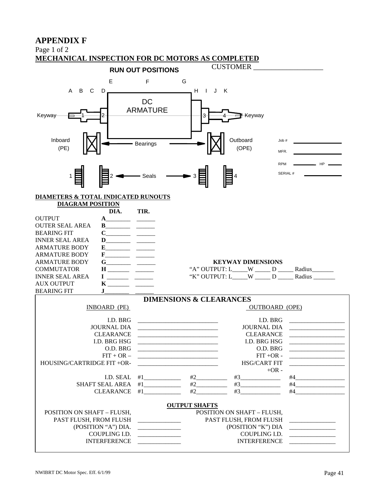#### **APPENDIX F**

Page 1 of 2

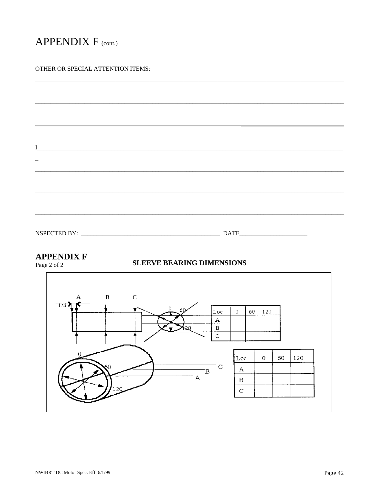### APPENDIX F (cont.)

#### OTHER OR SPECIAL ATTENTION ITEMS:

| T                   |             |  |
|---------------------|-------------|--|
|                     |             |  |
|                     |             |  |
|                     |             |  |
| <b>NSPECTED BY:</b> | <b>DATE</b> |  |

#### **APPENDIX F**

Page 2 of 2

#### **SLEEVE BEARING DIMENSIONS**

![](_page_41_Figure_6.jpeg)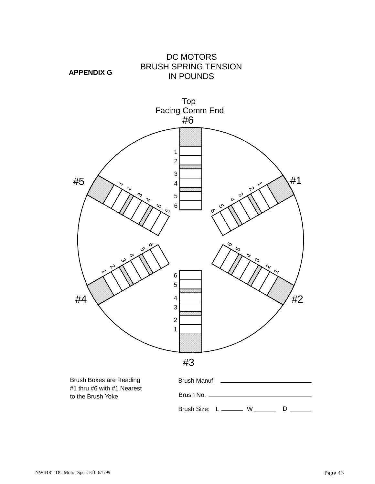![](_page_42_Figure_0.jpeg)